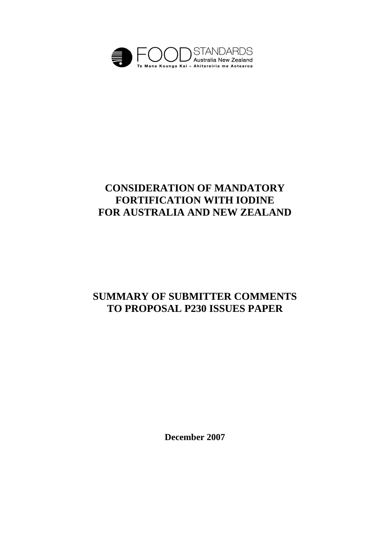

# **CONSIDERATION OF MANDATORY FORTIFICATION WITH IODINE FOR AUSTRALIA AND NEW ZEALAND**

# **SUMMARY OF SUBMITTER COMMENTS TO PROPOSAL P230 ISSUES PAPER**

**December 2007**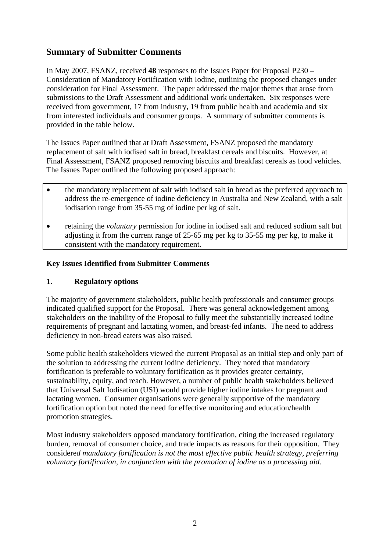# **Summary of Submitter Comments**

In May 2007, FSANZ, received **48** responses to the Issues Paper for Proposal P230 – Consideration of Mandatory Fortification with Iodine, outlining the proposed changes under consideration for Final Assessment. The paper addressed the major themes that arose from submissions to the Draft Assessment and additional work undertaken. Six responses were received from government, 17 from industry, 19 from public health and academia and six from interested individuals and consumer groups. A summary of submitter comments is provided in the table below.

The Issues Paper outlined that at Draft Assessment, FSANZ proposed the mandatory replacement of salt with iodised salt in bread, breakfast cereals and biscuits. However, at Final Assessment, FSANZ proposed removing biscuits and breakfast cereals as food vehicles. The Issues Paper outlined the following proposed approach:

- the mandatory replacement of salt with iodised salt in bread as the preferred approach to address the re-emergence of iodine deficiency in Australia and New Zealand, with a salt iodisation range from 35-55 mg of iodine per kg of salt.
- retaining the *voluntary* permission for iodine in iodised salt and reduced sodium salt but adjusting it from the current range of 25-65 mg per kg to 35-55 mg per kg, to make it consistent with the mandatory requirement.

#### **Key Issues Identified from Submitter Comments**

#### **1. Regulatory options**

The majority of government stakeholders, public health professionals and consumer groups indicated qualified support for the Proposal. There was general acknowledgement among stakeholders on the inability of the Proposal to fully meet the substantially increased iodine requirements of pregnant and lactating women, and breast-fed infants. The need to address deficiency in non-bread eaters was also raised.

Some public health stakeholders viewed the current Proposal as an initial step and only part of the solution to addressing the current iodine deficiency. They noted that mandatory fortification is preferable to voluntary fortification as it provides greater certainty, sustainability, equity, and reach. However, a number of public health stakeholders believed that Universal Salt Iodisation (USI) would provide higher iodine intakes for pregnant and lactating women. Consumer organisations were generally supportive of the mandatory fortification option but noted the need for effective monitoring and education/health promotion strategies.

Most industry stakeholders opposed mandatory fortification, citing the increased regulatory burden, removal of consumer choice, and trade impacts as reasons for their opposition. They considere*d mandatory fortification is not the most effective public health strategy, preferring voluntary fortification, in conjunction with the promotion of iodine as a processing aid.*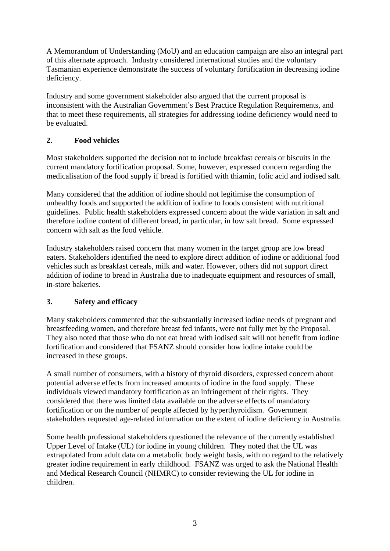A Memorandum of Understanding (MoU) and an education campaign are also an integral part of this alternate approach. Industry considered international studies and the voluntary Tasmanian experience demonstrate the success of voluntary fortification in decreasing iodine deficiency.

Industry and some government stakeholder also argued that the current proposal is inconsistent with the Australian Government's Best Practice Regulation Requirements, and that to meet these requirements, all strategies for addressing iodine deficiency would need to be evaluated.

## **2. Food vehicles**

Most stakeholders supported the decision not to include breakfast cereals or biscuits in the current mandatory fortification proposal. Some, however, expressed concern regarding the medicalisation of the food supply if bread is fortified with thiamin, folic acid and iodised salt.

Many considered that the addition of iodine should not legitimise the consumption of unhealthy foods and supported the addition of iodine to foods consistent with nutritional guidelines. Public health stakeholders expressed concern about the wide variation in salt and therefore iodine content of different bread, in particular, in low salt bread. Some expressed concern with salt as the food vehicle.

Industry stakeholders raised concern that many women in the target group are low bread eaters. Stakeholders identified the need to explore direct addition of iodine or additional food vehicles such as breakfast cereals, milk and water. However, others did not support direct addition of iodine to bread in Australia due to inadequate equipment and resources of small, in-store bakeries.

#### **3. Safety and efficacy**

Many stakeholders commented that the substantially increased iodine needs of pregnant and breastfeeding women, and therefore breast fed infants, were not fully met by the Proposal. They also noted that those who do not eat bread with iodised salt will not benefit from iodine fortification and considered that FSANZ should consider how iodine intake could be increased in these groups.

A small number of consumers, with a history of thyroid disorders, expressed concern about potential adverse effects from increased amounts of iodine in the food supply. These individuals viewed mandatory fortification as an infringement of their rights. They considered that there was limited data available on the adverse effects of mandatory fortification or on the number of people affected by hyperthyroidism. Government stakeholders requested age-related information on the extent of iodine deficiency in Australia.

Some health professional stakeholders questioned the relevance of the currently established Upper Level of Intake (UL) for iodine in young children. They noted that the UL was extrapolated from adult data on a metabolic body weight basis, with no regard to the relatively greater iodine requirement in early childhood. FSANZ was urged to ask the National Health and Medical Research Council (NHMRC) to consider reviewing the UL for iodine in children.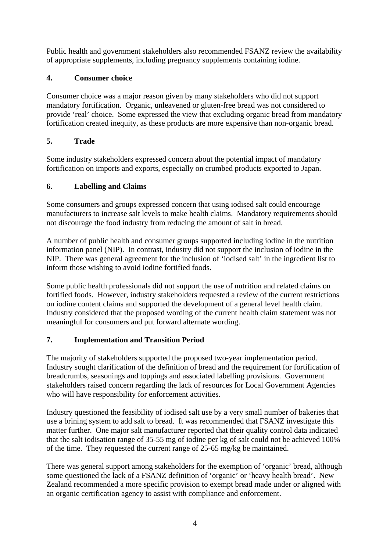Public health and government stakeholders also recommended FSANZ review the availability of appropriate supplements, including pregnancy supplements containing iodine.

## **4. Consumer choice**

Consumer choice was a major reason given by many stakeholders who did not support mandatory fortification. Organic, unleavened or gluten-free bread was not considered to provide 'real' choice. Some expressed the view that excluding organic bread from mandatory fortification created inequity, as these products are more expensive than non-organic bread.

# **5. Trade**

Some industry stakeholders expressed concern about the potential impact of mandatory fortification on imports and exports, especially on crumbed products exported to Japan.

# **6. Labelling and Claims**

Some consumers and groups expressed concern that using iodised salt could encourage manufacturers to increase salt levels to make health claims. Mandatory requirements should not discourage the food industry from reducing the amount of salt in bread.

A number of public health and consumer groups supported including iodine in the nutrition information panel (NIP). In contrast, industry did not support the inclusion of iodine in the NIP. There was general agreement for the inclusion of 'iodised salt' in the ingredient list to inform those wishing to avoid iodine fortified foods.

Some public health professionals did not support the use of nutrition and related claims on fortified foods. However, industry stakeholders requested a review of the current restrictions on iodine content claims and supported the development of a general level health claim. Industry considered that the proposed wording of the current health claim statement was not meaningful for consumers and put forward alternate wording.

# **7. Implementation and Transition Period**

The majority of stakeholders supported the proposed two-year implementation period. Industry sought clarification of the definition of bread and the requirement for fortification of breadcrumbs, seasonings and toppings and associated labelling provisions. Government stakeholders raised concern regarding the lack of resources for Local Government Agencies who will have responsibility for enforcement activities.

Industry questioned the feasibility of iodised salt use by a very small number of bakeries that use a brining system to add salt to bread. It was recommended that FSANZ investigate this matter further. One major salt manufacturer reported that their quality control data indicated that the salt iodisation range of 35-55 mg of iodine per kg of salt could not be achieved 100% of the time. They requested the current range of 25-65 mg/kg be maintained.

There was general support among stakeholders for the exemption of 'organic' bread, although some questioned the lack of a FSANZ definition of 'organic' or 'heavy health bread'. New Zealand recommended a more specific provision to exempt bread made under or aligned with an organic certification agency to assist with compliance and enforcement.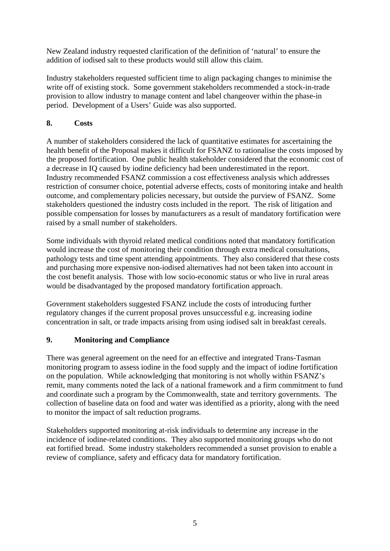New Zealand industry requested clarification of the definition of 'natural' to ensure the addition of iodised salt to these products would still allow this claim.

Industry stakeholders requested sufficient time to align packaging changes to minimise the write off of existing stock. Some government stakeholders recommended a stock-in-trade provision to allow industry to manage content and label changeover within the phase-in period. Development of a Users' Guide was also supported.

#### **8. Costs**

A number of stakeholders considered the lack of quantitative estimates for ascertaining the health benefit of the Proposal makes it difficult for FSANZ to rationalise the costs imposed by the proposed fortification. One public health stakeholder considered that the economic cost of a decrease in IQ caused by iodine deficiency had been underestimated in the report. Industry recommended FSANZ commission a cost effectiveness analysis which addresses restriction of consumer choice, potential adverse effects, costs of monitoring intake and health outcome, and complementary policies necessary, but outside the purview of FSANZ. Some stakeholders questioned the industry costs included in the report. The risk of litigation and possible compensation for losses by manufacturers as a result of mandatory fortification were raised by a small number of stakeholders.

Some individuals with thyroid related medical conditions noted that mandatory fortification would increase the cost of monitoring their condition through extra medical consultations, pathology tests and time spent attending appointments. They also considered that these costs and purchasing more expensive non-iodised alternatives had not been taken into account in the cost benefit analysis. Those with low socio-economic status or who live in rural areas would be disadvantaged by the proposed mandatory fortification approach.

Government stakeholders suggested FSANZ include the costs of introducing further regulatory changes if the current proposal proves unsuccessful e.g. increasing iodine concentration in salt, or trade impacts arising from using iodised salt in breakfast cereals.

#### **9. Monitoring and Compliance**

There was general agreement on the need for an effective and integrated Trans-Tasman monitoring program to assess iodine in the food supply and the impact of iodine fortification on the population. While acknowledging that monitoring is not wholly within FSANZ's remit, many comments noted the lack of a national framework and a firm commitment to fund and coordinate such a program by the Commonwealth, state and territory governments. The collection of baseline data on food and water was identified as a priority, along with the need to monitor the impact of salt reduction programs.

Stakeholders supported monitoring at-risk individuals to determine any increase in the incidence of iodine-related conditions. They also supported monitoring groups who do not eat fortified bread. Some industry stakeholders recommended a sunset provision to enable a review of compliance, safety and efficacy data for mandatory fortification.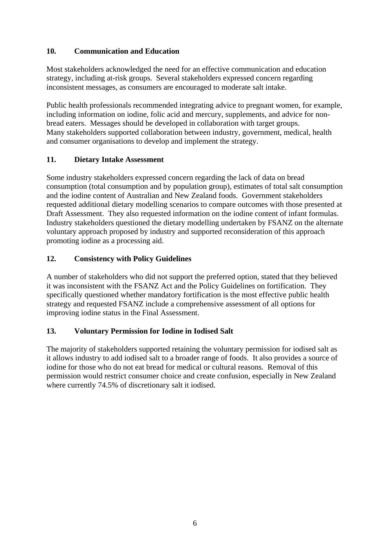## **10. Communication and Education**

Most stakeholders acknowledged the need for an effective communication and education strategy, including at-risk groups. Several stakeholders expressed concern regarding inconsistent messages, as consumers are encouraged to moderate salt intake.

Public health professionals recommended integrating advice to pregnant women, for example, including information on iodine, folic acid and mercury, supplements, and advice for nonbread eaters. Messages should be developed in collaboration with target groups. Many stakeholders supported collaboration between industry, government, medical, health and consumer organisations to develop and implement the strategy.

## **11. Dietary Intake Assessment**

Some industry stakeholders expressed concern regarding the lack of data on bread consumption (total consumption and by population group), estimates of total salt consumption and the iodine content of Australian and New Zealand foods. Government stakeholders requested additional dietary modelling scenarios to compare outcomes with those presented at Draft Assessment. They also requested information on the iodine content of infant formulas. Industry stakeholders questioned the dietary modelling undertaken by FSANZ on the alternate voluntary approach proposed by industry and supported reconsideration of this approach promoting iodine as a processing aid.

# **12. Consistency with Policy Guidelines**

A number of stakeholders who did not support the preferred option, stated that they believed it was inconsistent with the FSANZ Act and the Policy Guidelines on fortification. They specifically questioned whether mandatory fortification is the most effective public health strategy and requested FSANZ include a comprehensive assessment of all options for improving iodine status in the Final Assessment.

## **13. Voluntary Permission for Iodine in Iodised Salt**

The majority of stakeholders supported retaining the voluntary permission for iodised salt as it allows industry to add iodised salt to a broader range of foods. It also provides a source of iodine for those who do not eat bread for medical or cultural reasons. Removal of this permission would restrict consumer choice and create confusion, especially in New Zealand where currently 74.5% of discretionary salt it iodised.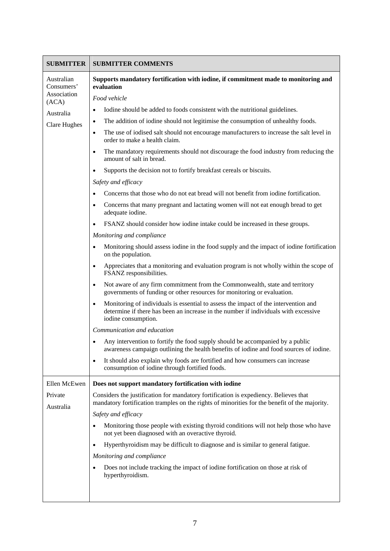| <b>SUBMITTER</b>                        | <b>SUBMITTER COMMENTS</b>                                                                                                                                                                                      |
|-----------------------------------------|----------------------------------------------------------------------------------------------------------------------------------------------------------------------------------------------------------------|
| Australian<br>Consumers'<br>Association | Supports mandatory fortification with iodine, if commitment made to monitoring and<br>evaluation                                                                                                               |
| (ACA)                                   | Food vehicle                                                                                                                                                                                                   |
| Australia                               | Iodine should be added to foods consistent with the nutritional guidelines.                                                                                                                                    |
| <b>Clare Hughes</b>                     | The addition of iodine should not legitimise the consumption of unhealthy foods.<br>$\bullet$                                                                                                                  |
|                                         | The use of iodised salt should not encourage manufacturers to increase the salt level in<br>$\bullet$<br>order to make a health claim.                                                                         |
|                                         | The mandatory requirements should not discourage the food industry from reducing the<br>$\bullet$<br>amount of salt in bread.                                                                                  |
|                                         | Supports the decision not to fortify breakfast cereals or biscuits.<br>$\bullet$                                                                                                                               |
|                                         | Safety and efficacy                                                                                                                                                                                            |
|                                         | Concerns that those who do not eat bread will not benefit from iodine fortification.                                                                                                                           |
|                                         | Concerns that many pregnant and lactating women will not eat enough bread to get<br>$\bullet$<br>adequate iodine.                                                                                              |
|                                         | FSANZ should consider how iodine intake could be increased in these groups.                                                                                                                                    |
|                                         | Monitoring and compliance                                                                                                                                                                                      |
|                                         | Monitoring should assess iodine in the food supply and the impact of iodine fortification<br>$\bullet$<br>on the population.                                                                                   |
|                                         | Appreciates that a monitoring and evaluation program is not wholly within the scope of<br>$\bullet$<br>FSANZ responsibilities.                                                                                 |
|                                         | Not aware of any firm commitment from the Commonwealth, state and territory<br>$\bullet$<br>governments of funding or other resources for monitoring or evaluation.                                            |
|                                         | Monitoring of individuals is essential to assess the impact of the intervention and<br>$\bullet$<br>determine if there has been an increase in the number if individuals with excessive<br>iodine consumption. |
|                                         | Communication and education                                                                                                                                                                                    |
|                                         | Any intervention to fortify the food supply should be accompanied by a public<br>awareness campaign outlining the health benefits of iodine and food sources of iodine.                                        |
|                                         | It should also explain why foods are fortified and how consumers can increase<br>$\bullet$<br>consumption of iodine through fortified foods.                                                                   |
| Ellen McEwen                            | Does not support mandatory fortification with iodine                                                                                                                                                           |
| Private<br>Australia                    | Considers the justification for mandatory fortification is expediency. Believes that<br>mandatory fortification tramples on the rights of minorities for the benefit of the majority.                          |
|                                         | Safety and efficacy                                                                                                                                                                                            |
|                                         | Monitoring those people with existing thyroid conditions will not help those who have<br>not yet been diagnosed with an overactive thyroid.                                                                    |
|                                         | Hyperthyroidism may be difficult to diagnose and is similar to general fatigue.<br>$\bullet$                                                                                                                   |
|                                         | Monitoring and compliance                                                                                                                                                                                      |
|                                         | Does not include tracking the impact of iodine fortification on those at risk of<br>hyperthyroidism.                                                                                                           |
|                                         |                                                                                                                                                                                                                |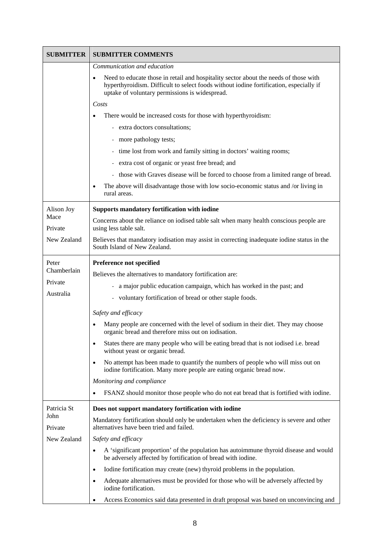| <b>SUBMITTER</b>               | <b>SUBMITTER COMMENTS</b>                                                                                                                                                                                                        |
|--------------------------------|----------------------------------------------------------------------------------------------------------------------------------------------------------------------------------------------------------------------------------|
|                                | Communication and education                                                                                                                                                                                                      |
|                                | Need to educate those in retail and hospitality sector about the needs of those with<br>hyperthyroidism. Difficult to select foods without iodine fortification, especially if<br>uptake of voluntary permissions is widespread. |
|                                | Costs                                                                                                                                                                                                                            |
|                                | There would be increased costs for those with hyperthyroidism:                                                                                                                                                                   |
|                                | - extra doctors consultations;                                                                                                                                                                                                   |
|                                | - more pathology tests;                                                                                                                                                                                                          |
|                                | time lost from work and family sitting in doctors' waiting rooms;<br>$\qquad \qquad -$                                                                                                                                           |
|                                | extra cost of organic or yeast free bread; and                                                                                                                                                                                   |
|                                | those with Graves disease will be forced to choose from a limited range of bread.<br>$\overline{\phantom{a}}$                                                                                                                    |
|                                | The above will disadvantage those with low socio-economic status and /or living in<br>rural areas.                                                                                                                               |
| Alison Joy                     | <b>Supports mandatory fortification with iodine</b>                                                                                                                                                                              |
| Mace<br>Private                | Concerns about the reliance on iodised table salt when many health conscious people are<br>using less table salt.                                                                                                                |
| New Zealand                    | Believes that mandatory iodisation may assist in correcting inadequate iodine status in the<br>South Island of New Zealand.                                                                                                      |
| Peter                          | Preference not specified                                                                                                                                                                                                         |
| Chamberlain                    | Believes the alternatives to mandatory fortification are:                                                                                                                                                                        |
| Private                        | a major public education campaign, which has worked in the past; and                                                                                                                                                             |
| Australia                      | voluntary fortification of bread or other staple foods.                                                                                                                                                                          |
|                                | Safety and efficacy                                                                                                                                                                                                              |
|                                | Many people are concerned with the level of sodium in their diet. They may choose<br>$\bullet$<br>organic bread and therefore miss out on iodisation.                                                                            |
|                                | States there are many people who will be eating bread that is not iodised i.e. bread<br>$\bullet$<br>without yeast or organic bread.                                                                                             |
|                                | No attempt has been made to quantify the numbers of people who will miss out on<br>$\bullet$<br>iodine fortification. Many more people are eating organic bread now.                                                             |
|                                | Monitoring and compliance                                                                                                                                                                                                        |
|                                | FSANZ should monitor those people who do not eat bread that is fortified with iodine.                                                                                                                                            |
| Patricia St                    | Does not support mandatory fortification with iodine                                                                                                                                                                             |
| John<br>Private<br>New Zealand | Mandatory fortification should only be undertaken when the deficiency is severe and other<br>alternatives have been tried and failed.                                                                                            |
|                                | Safety and efficacy                                                                                                                                                                                                              |
|                                | A 'significant proportion' of the population has autoimmune thyroid disease and would<br>$\bullet$<br>be adversely affected by fortification of bread with iodine.                                                               |
|                                | Iodine fortification may create (new) thyroid problems in the population.<br>$\bullet$                                                                                                                                           |
|                                | Adequate alternatives must be provided for those who will be adversely affected by<br>$\bullet$<br>iodine fortification.                                                                                                         |
|                                | Access Economics said data presented in draft proposal was based on unconvincing and<br>٠                                                                                                                                        |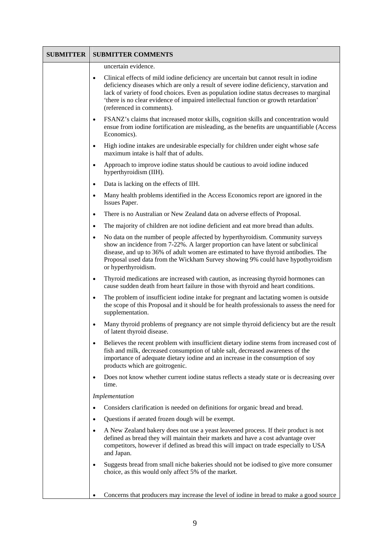| <b>SUBMITTER</b> | <b>SUBMITTER COMMENTS</b>                                                                                                                                                                                                                                                                                                                                                                                    |
|------------------|--------------------------------------------------------------------------------------------------------------------------------------------------------------------------------------------------------------------------------------------------------------------------------------------------------------------------------------------------------------------------------------------------------------|
|                  | uncertain evidence.                                                                                                                                                                                                                                                                                                                                                                                          |
|                  | Clinical effects of mild iodine deficiency are uncertain but cannot result in iodine<br>$\bullet$<br>deficiency diseases which are only a result of severe iodine deficiency, starvation and<br>lack of variety of food choices. Even as population iodine status decreases to marginal<br>'there is no clear evidence of impaired intellectual function or growth retardation'<br>(referenced in comments). |
|                  | FSANZ's claims that increased motor skills, cognition skills and concentration would<br>$\bullet$<br>ensue from iodine fortification are misleading, as the benefits are unquantifiable (Access<br>Economics).                                                                                                                                                                                               |
|                  | High iodine intakes are undesirable especially for children under eight whose safe<br>$\bullet$<br>maximum intake is half that of adults.                                                                                                                                                                                                                                                                    |
|                  | Approach to improve iodine status should be cautious to avoid iodine induced<br>$\bullet$<br>hyperthyroidism (IIH).                                                                                                                                                                                                                                                                                          |
|                  | Data is lacking on the effects of IIH.<br>$\bullet$                                                                                                                                                                                                                                                                                                                                                          |
|                  | Many health problems identified in the Access Economics report are ignored in the<br>$\bullet$<br>Issues Paper.                                                                                                                                                                                                                                                                                              |
|                  | There is no Australian or New Zealand data on adverse effects of Proposal.<br>$\bullet$                                                                                                                                                                                                                                                                                                                      |
|                  | The majority of children are not iodine deficient and eat more bread than adults.<br>$\bullet$                                                                                                                                                                                                                                                                                                               |
|                  | No data on the number of people affected by hyperthyroidism. Community surveys<br>$\bullet$<br>show an incidence from 7-22%. A larger proportion can have latent or subclinical<br>disease, and up to 36% of adult women are estimated to have thyroid antibodies. The<br>Proposal used data from the Wickham Survey showing 9% could have hypothyroidism<br>or hyperthyroidism.                             |
|                  | Thyroid medications are increased with caution, as increasing thyroid hormones can<br>$\bullet$<br>cause sudden death from heart failure in those with thyroid and heart conditions.                                                                                                                                                                                                                         |
|                  | The problem of insufficient iodine intake for pregnant and lactating women is outside<br>$\bullet$<br>the scope of this Proposal and it should be for health professionals to assess the need for<br>supplementation.                                                                                                                                                                                        |
|                  | Many thyroid problems of pregnancy are not simple thyroid deficiency but are the result<br>$\bullet$<br>of latent thyroid disease.                                                                                                                                                                                                                                                                           |
|                  | Believes the recent problem with insufficient dietary iodine stems from increased cost of<br>fish and milk, decreased consumption of table salt, decreased awareness of the<br>importance of adequate dietary iodine and an increase in the consumption of soy<br>products which are goitrogenic.                                                                                                            |
|                  | Does not know whether current iodine status reflects a steady state or is decreasing over<br>$\bullet$<br>time.                                                                                                                                                                                                                                                                                              |
|                  | Implementation                                                                                                                                                                                                                                                                                                                                                                                               |
|                  | Considers clarification is needed on definitions for organic bread and bread.<br>$\bullet$                                                                                                                                                                                                                                                                                                                   |
|                  | Questions if aerated frozen dough will be exempt.<br>$\bullet$                                                                                                                                                                                                                                                                                                                                               |
|                  | A New Zealand bakery does not use a yeast leavened process. If their product is not<br>$\bullet$<br>defined as bread they will maintain their markets and have a cost advantage over<br>competitors, however if defined as bread this will impact on trade especially to USA<br>and Japan.                                                                                                                   |
|                  | Suggests bread from small niche bakeries should not be iodised to give more consumer<br>$\bullet$<br>choice, as this would only affect 5% of the market.                                                                                                                                                                                                                                                     |
|                  | Concerns that producers may increase the level of iodine in bread to make a good source                                                                                                                                                                                                                                                                                                                      |

٦

ŕ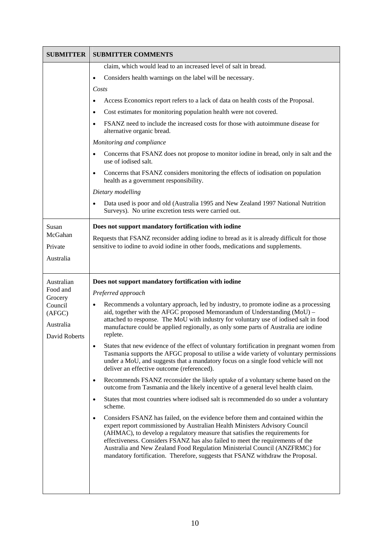| <b>SUBMITTER</b>               | <b>SUBMITTER COMMENTS</b>                                                                                                                                                                                                                                                                                              |
|--------------------------------|------------------------------------------------------------------------------------------------------------------------------------------------------------------------------------------------------------------------------------------------------------------------------------------------------------------------|
|                                | claim, which would lead to an increased level of salt in bread.                                                                                                                                                                                                                                                        |
|                                | Considers health warnings on the label will be necessary.<br>$\bullet$                                                                                                                                                                                                                                                 |
|                                | Costs                                                                                                                                                                                                                                                                                                                  |
|                                | Access Economics report refers to a lack of data on health costs of the Proposal.                                                                                                                                                                                                                                      |
|                                | Cost estimates for monitoring population health were not covered.                                                                                                                                                                                                                                                      |
|                                | FSANZ need to include the increased costs for those with autoimmune disease for<br>alternative organic bread.                                                                                                                                                                                                          |
|                                | Monitoring and compliance                                                                                                                                                                                                                                                                                              |
|                                | Concerns that FSANZ does not propose to monitor iodine in bread, only in salt and the<br>use of iodised salt.                                                                                                                                                                                                          |
|                                | Concerns that FSANZ considers monitoring the effects of iodisation on population<br>$\bullet$<br>health as a government responsibility.                                                                                                                                                                                |
|                                | Dietary modelling                                                                                                                                                                                                                                                                                                      |
|                                | Data used is poor and old (Australia 1995 and New Zealand 1997 National Nutrition<br>$\bullet$<br>Surveys). No urine excretion tests were carried out.                                                                                                                                                                 |
| Susan                          | Does not support mandatory fortification with iodine                                                                                                                                                                                                                                                                   |
| McGahan                        | Requests that FSANZ reconsider adding iodine to bread as it is already difficult for those                                                                                                                                                                                                                             |
| Private                        | sensitive to iodine to avoid iodine in other foods, medications and supplements.                                                                                                                                                                                                                                       |
| Australia                      |                                                                                                                                                                                                                                                                                                                        |
|                                |                                                                                                                                                                                                                                                                                                                        |
| Australian                     | Does not support mandatory fortification with iodine                                                                                                                                                                                                                                                                   |
| Food and<br>Grocery            | Preferred approach                                                                                                                                                                                                                                                                                                     |
| Council<br>(AFGC)<br>Australia | Recommends a voluntary approach, led by industry, to promote iodine as a processing<br>$\bullet$<br>aid, together with the AFGC proposed Memorandum of Understanding (MoU) -                                                                                                                                           |
| David Roberts                  | attached to response. The MoU with industry for voluntary use of iodised salt in food<br>manufacture could be applied regionally, as only some parts of Australia are iodine<br>replete.                                                                                                                               |
|                                | States that new evidence of the effect of voluntary fortification in pregnant women from<br>Tasmania supports the AFGC proposal to utilise a wide variety of voluntary permissions<br>under a MoU, and suggests that a mandatory focus on a single food vehicle will not<br>deliver an effective outcome (referenced). |
|                                | Recommends FSANZ reconsider the likely uptake of a voluntary scheme based on the<br>$\bullet$<br>outcome from Tasmania and the likely incentive of a general level health claim.                                                                                                                                       |
|                                | States that most countries where iodised salt is recommended do so under a voluntary<br>$\bullet$<br>scheme.                                                                                                                                                                                                           |

٦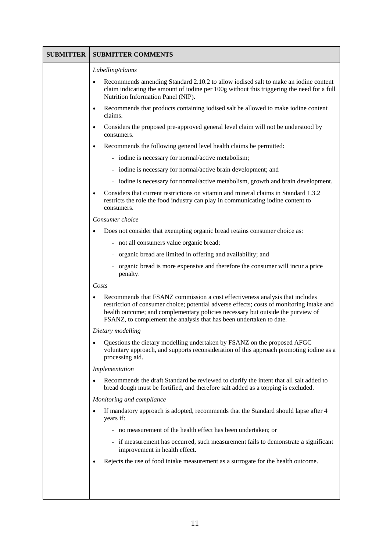| SUBMITTER | <b>SUBMITTER COMMENTS</b>                                                                                                                                                                                                                                                                                                           |
|-----------|-------------------------------------------------------------------------------------------------------------------------------------------------------------------------------------------------------------------------------------------------------------------------------------------------------------------------------------|
|           | Labelling/claims                                                                                                                                                                                                                                                                                                                    |
|           | Recommends amending Standard 2.10.2 to allow iodised salt to make an iodine content<br>claim indicating the amount of iodine per 100g without this triggering the need for a full<br>Nutrition Information Panel (NIP).                                                                                                             |
|           | Recommends that products containing iodised salt be allowed to make iodine content<br>$\bullet$<br>claims.                                                                                                                                                                                                                          |
|           | Considers the proposed pre-approved general level claim will not be understood by<br>$\bullet$<br>consumers.                                                                                                                                                                                                                        |
|           | Recommends the following general level health claims be permitted:<br>$\bullet$                                                                                                                                                                                                                                                     |
|           | - iodine is necessary for normal/active metabolism;                                                                                                                                                                                                                                                                                 |
|           | - iodine is necessary for normal/active brain development; and                                                                                                                                                                                                                                                                      |
|           | - iodine is necessary for normal/active metabolism, growth and brain development.                                                                                                                                                                                                                                                   |
|           | Considers that current restrictions on vitamin and mineral claims in Standard 1.3.2<br>$\bullet$<br>restricts the role the food industry can play in communicating iodine content to<br>consumers.                                                                                                                                  |
|           | Consumer choice                                                                                                                                                                                                                                                                                                                     |
|           | Does not consider that exempting organic bread retains consumer choice as:                                                                                                                                                                                                                                                          |
|           | - not all consumers value organic bread;                                                                                                                                                                                                                                                                                            |
|           | - organic bread are limited in offering and availability; and                                                                                                                                                                                                                                                                       |
|           | - organic bread is more expensive and therefore the consumer will incur a price<br>penalty.                                                                                                                                                                                                                                         |
|           | Costs                                                                                                                                                                                                                                                                                                                               |
|           | Recommends that FSANZ commission a cost effectiveness analysis that includes<br>restriction of consumer choice; potential adverse effects; costs of monitoring intake and<br>health outcome; and complementary policies necessary but outside the purview of<br>FSANZ, to complement the analysis that has been undertaken to date. |
|           | Dietary modelling                                                                                                                                                                                                                                                                                                                   |
|           | Questions the dietary modelling undertaken by FSANZ on the proposed AFGC<br>٠<br>voluntary approach, and supports reconsideration of this approach promoting iodine as a<br>processing aid.                                                                                                                                         |
|           | Implementation                                                                                                                                                                                                                                                                                                                      |
|           | Recommends the draft Standard be reviewed to clarify the intent that all salt added to<br>bread dough must be fortified, and therefore salt added as a topping is excluded.                                                                                                                                                         |
|           | Monitoring and compliance                                                                                                                                                                                                                                                                                                           |
|           | If mandatory approach is adopted, recommends that the Standard should lapse after 4<br>years if:                                                                                                                                                                                                                                    |
|           | - no measurement of the health effect has been undertaken; or                                                                                                                                                                                                                                                                       |
|           | - if measurement has occurred, such measurement fails to demonstrate a significant<br>improvement in health effect.                                                                                                                                                                                                                 |
|           | Rejects the use of food intake measurement as a surrogate for the health outcome.                                                                                                                                                                                                                                                   |
|           |                                                                                                                                                                                                                                                                                                                                     |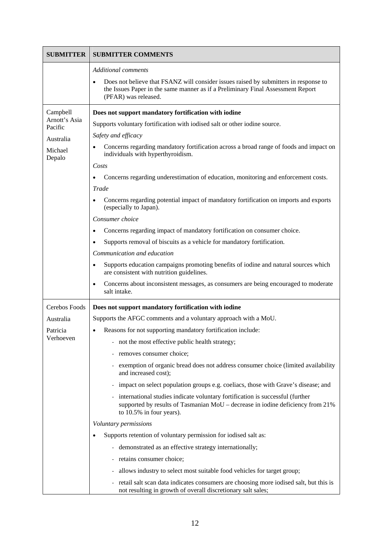| <b>SUBMITTER</b>         | <b>SUBMITTER COMMENTS</b>                                                                                                                                                                       |
|--------------------------|-------------------------------------------------------------------------------------------------------------------------------------------------------------------------------------------------|
|                          | <b>Additional comments</b>                                                                                                                                                                      |
|                          | Does not believe that FSANZ will consider issues raised by submitters in response to<br>the Issues Paper in the same manner as if a Preliminary Final Assessment Report<br>(PFAR) was released. |
| Campbell                 | Does not support mandatory fortification with iodine                                                                                                                                            |
| Arnott's Asia<br>Pacific | Supports voluntary fortification with iodised salt or other iodine source.                                                                                                                      |
| Australia                | Safety and efficacy                                                                                                                                                                             |
| Michael<br>Depalo        | Concerns regarding mandatory fortification across a broad range of foods and impact on<br>individuals with hyperthyroidism.                                                                     |
|                          | Costs                                                                                                                                                                                           |
|                          | Concerns regarding underestimation of education, monitoring and enforcement costs.                                                                                                              |
|                          | Trade                                                                                                                                                                                           |
|                          | Concerns regarding potential impact of mandatory fortification on imports and exports<br>(especially to Japan).                                                                                 |
|                          | Consumer choice                                                                                                                                                                                 |
|                          | Concerns regarding impact of mandatory fortification on consumer choice.                                                                                                                        |
|                          | Supports removal of biscuits as a vehicle for mandatory fortification.<br>٠                                                                                                                     |
|                          | Communication and education                                                                                                                                                                     |
|                          | Supports education campaigns promoting benefits of iodine and natural sources which<br>$\bullet$<br>are consistent with nutrition guidelines.                                                   |
|                          | Concerns about inconsistent messages, as consumers are being encouraged to moderate<br>٠<br>salt intake.                                                                                        |
| Cerebos Foods            | Does not support mandatory fortification with iodine                                                                                                                                            |
| Australia                | Supports the AFGC comments and a voluntary approach with a MoU.                                                                                                                                 |
| Patricia                 | Reasons for not supporting mandatory fortification include:                                                                                                                                     |
| Verhoeven                | not the most effective public health strategy;                                                                                                                                                  |
|                          | removes consumer choice;                                                                                                                                                                        |
|                          | exemption of organic bread does not address consumer choice (limited availability<br>and increased cost);                                                                                       |
|                          | impact on select population groups e.g. coeliacs, those with Grave's disease; and<br>$\overline{\phantom{0}}$                                                                                   |
|                          | international studies indicate voluntary fortification is successful (further<br>supported by results of Tasmanian MoU – decrease in iodine deficiency from 21%<br>to 10.5% in four years).     |
|                          | Voluntary permissions                                                                                                                                                                           |
|                          | Supports retention of voluntary permission for iodised salt as:                                                                                                                                 |
|                          | demonstrated as an effective strategy internationally;<br>$\equiv$                                                                                                                              |
|                          | retains consumer choice;                                                                                                                                                                        |
|                          | allows industry to select most suitable food vehicles for target group;                                                                                                                         |
|                          | retail salt scan data indicates consumers are choosing more iodised salt, but this is<br>not resulting in growth of overall discretionary salt sales;                                           |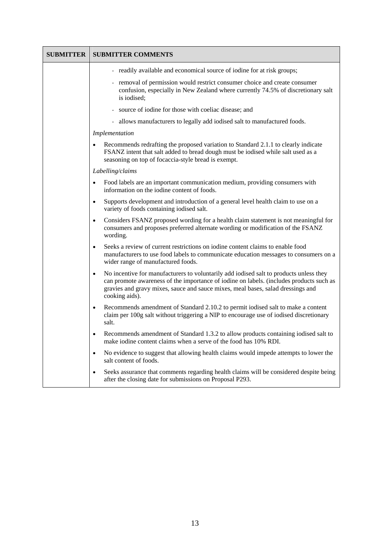| <b>SUBMITTER</b> | <b>SUBMITTER COMMENTS</b>                                                                                                                                                                                                                                                                           |
|------------------|-----------------------------------------------------------------------------------------------------------------------------------------------------------------------------------------------------------------------------------------------------------------------------------------------------|
|                  | - readily available and economical source of iodine for at risk groups;                                                                                                                                                                                                                             |
|                  | - removal of permission would restrict consumer choice and create consumer<br>confusion, especially in New Zealand where currently 74.5% of discretionary salt<br>is iodised;                                                                                                                       |
|                  | source of iodine for those with coeliac disease; and                                                                                                                                                                                                                                                |
|                  | - allows manufacturers to legally add iodised salt to manufactured foods.                                                                                                                                                                                                                           |
|                  | Implementation                                                                                                                                                                                                                                                                                      |
|                  | Recommends redrafting the proposed variation to Standard 2.1.1 to clearly indicate<br>FSANZ intent that salt added to bread dough must be iodised while salt used as a<br>seasoning on top of focaccia-style bread is exempt.                                                                       |
|                  | Labelling/claims                                                                                                                                                                                                                                                                                    |
|                  | Food labels are an important communication medium, providing consumers with<br>$\bullet$<br>information on the iodine content of foods.                                                                                                                                                             |
|                  | Supports development and introduction of a general level health claim to use on a<br>$\bullet$<br>variety of foods containing iodised salt.                                                                                                                                                         |
|                  | Considers FSANZ proposed wording for a health claim statement is not meaningful for<br>$\bullet$<br>consumers and proposes preferred alternate wording or modification of the FSANZ<br>wording.                                                                                                     |
|                  | Seeks a review of current restrictions on iodine content claims to enable food<br>$\bullet$<br>manufacturers to use food labels to communicate education messages to consumers on a<br>wider range of manufactured foods.                                                                           |
|                  | No incentive for manufacturers to voluntarily add iodised salt to products unless they<br>$\bullet$<br>can promote awareness of the importance of iodine on labels. (includes products such as<br>gravies and gravy mixes, sauce and sauce mixes, meal bases, salad dressings and<br>cooking aids). |
|                  | Recommends amendment of Standard 2.10.2 to permit iodised salt to make a content<br>$\bullet$<br>claim per 100g salt without triggering a NIP to encourage use of iodised discretionary<br>salt.                                                                                                    |
|                  | Recommends amendment of Standard 1.3.2 to allow products containing iodised salt to<br>make iodine content claims when a serve of the food has 10% RDI.                                                                                                                                             |
|                  | No evidence to suggest that allowing health claims would impede attempts to lower the<br>$\bullet$<br>salt content of foods.                                                                                                                                                                        |
|                  | Seeks assurance that comments regarding health claims will be considered despite being<br>$\bullet$<br>after the closing date for submissions on Proposal P293.                                                                                                                                     |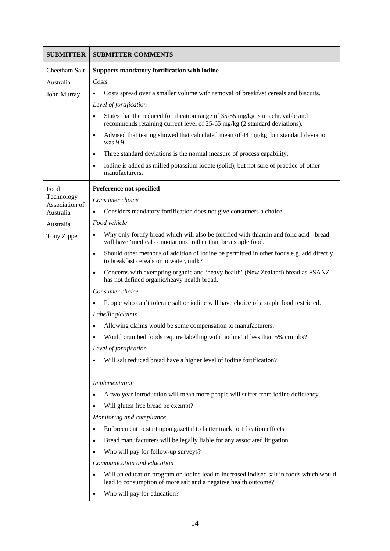| <b>SUBMITTER</b>             | <b>SUBMITTER COMMENTS</b>                                                                                                                                    |
|------------------------------|--------------------------------------------------------------------------------------------------------------------------------------------------------------|
| Cheetham Salt                | Supports mandatory fortification with iodine                                                                                                                 |
| Australia                    | Costs                                                                                                                                                        |
| John Murray                  | Costs spread over a smaller volume with removal of breakfast cereals and biscuits.                                                                           |
|                              | Level of fortification                                                                                                                                       |
|                              | States that the reduced fortification range of 35-55 mg/kg is unachievable and<br>recommends retaining current level of 25-65 mg/kg (2 standard deviations). |
|                              | Advised that testing showed that calculated mean of 44 mg/kg, but standard deviation<br>was 9.9.                                                             |
|                              | Three standard deviations is the normal measure of process capability.                                                                                       |
|                              | Iodine is added as milled potassium iodate (solid), but not sure of practice of other<br>manufacturers.                                                      |
| Food                         | Preference not specified                                                                                                                                     |
| Technology<br>Association of | Consumer choice                                                                                                                                              |
| Australia                    | Considers mandatory fortification does not give consumers a choice.                                                                                          |
| Australia                    | Food vehicle                                                                                                                                                 |
| Tony Zipper                  | Why only fortify bread which will also be fortified with thiamin and folic acid - bread<br>will have 'medical connotations' rather than be a staple food.    |
|                              | Should other methods of addition of iodine be permitted in other foods e.g. add directly<br>$\bullet$<br>to breakfast cereals or to water, milk?             |
|                              | Concerns with exempting organic and 'heavy health' (New Zealand) bread as FSANZ<br>has not defined organic/heavy health bread.                               |
|                              | Consumer choice                                                                                                                                              |
|                              | People who can't tolerate salt or iodine will have choice of a staple food restricted.                                                                       |
|                              | Labelling/claims                                                                                                                                             |
|                              | Allowing claims would be some compensation to manufacturers.                                                                                                 |
|                              | Would crumbed foods require labelling with 'iodine' if less than 5% crumbs?                                                                                  |
|                              | Level of fortification                                                                                                                                       |
|                              | Will salt reduced bread have a higher level of iodine fortification?                                                                                         |
|                              | Implementation                                                                                                                                               |
|                              | A two year introduction will mean more people will suffer from iodine deficiency.                                                                            |
|                              | Will gluten free bread be exempt?                                                                                                                            |
|                              | Monitoring and compliance                                                                                                                                    |
|                              | Enforcement to start upon gazettal to better track fortification effects.                                                                                    |
|                              | Bread manufacturers will be legally liable for any associated litigation.                                                                                    |
|                              | Who will pay for follow-up surveys?                                                                                                                          |
|                              | Communication and education                                                                                                                                  |
|                              | Will an education program on iodine lead to increased iodised salt in foods which would<br>lead to consumption of more salt and a negative health outcome?   |
|                              | Who will pay for education?                                                                                                                                  |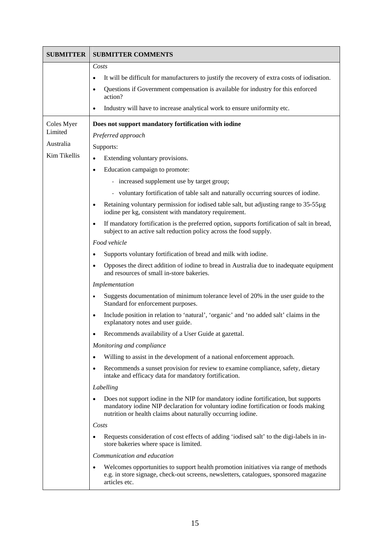| <b>SUBMITTER</b> | <b>SUBMITTER COMMENTS</b>                                                                                                                                                                                                                  |
|------------------|--------------------------------------------------------------------------------------------------------------------------------------------------------------------------------------------------------------------------------------------|
|                  | Costs                                                                                                                                                                                                                                      |
|                  | It will be difficult for manufacturers to justify the recovery of extra costs of iodisation.                                                                                                                                               |
|                  | Questions if Government compensation is available for industry for this enforced<br>٠<br>action?                                                                                                                                           |
|                  | Industry will have to increase analytical work to ensure uniformity etc.<br>٠                                                                                                                                                              |
| Coles Myer       | Does not support mandatory fortification with iodine                                                                                                                                                                                       |
| Limited          | Preferred approach                                                                                                                                                                                                                         |
| Australia        | Supports:                                                                                                                                                                                                                                  |
| Kim Tikellis     | Extending voluntary provisions.<br>$\bullet$                                                                                                                                                                                               |
|                  | Education campaign to promote:<br>٠                                                                                                                                                                                                        |
|                  | - increased supplement use by target group;                                                                                                                                                                                                |
|                  | - voluntary fortification of table salt and naturally occurring sources of iodine.                                                                                                                                                         |
|                  | Retaining voluntary permission for iodised table salt, but adjusting range to 35-55µg<br>$\bullet$<br>iodine per kg, consistent with mandatory requirement.                                                                                |
|                  | If mandatory fortification is the preferred option, supports fortification of salt in bread,<br>$\bullet$<br>subject to an active salt reduction policy across the food supply.                                                            |
|                  | Food vehicle                                                                                                                                                                                                                               |
|                  | Supports voluntary fortification of bread and milk with iodine.                                                                                                                                                                            |
|                  | Opposes the direct addition of iodine to bread in Australia due to inadequate equipment<br>$\bullet$<br>and resources of small in-store bakeries.                                                                                          |
|                  | Implementation                                                                                                                                                                                                                             |
|                  | Suggests documentation of minimum tolerance level of 20% in the user guide to the<br>$\bullet$<br>Standard for enforcement purposes.                                                                                                       |
|                  | Include position in relation to 'natural', 'organic' and 'no added salt' claims in the<br>$\bullet$<br>explanatory notes and user guide.                                                                                                   |
|                  | Recommends availability of a User Guide at gazettal.<br>٠                                                                                                                                                                                  |
|                  | Monitoring and compliance                                                                                                                                                                                                                  |
|                  | Willing to assist in the development of a national enforcement approach.                                                                                                                                                                   |
|                  | Recommends a sunset provision for review to examine compliance, safety, dietary<br>$\bullet$<br>intake and efficacy data for mandatory fortification.                                                                                      |
|                  | Labelling                                                                                                                                                                                                                                  |
|                  | Does not support iodine in the NIP for mandatory iodine fortification, but supports<br>mandatory iodine NIP declaration for voluntary iodine fortification or foods making<br>nutrition or health claims about naturally occurring iodine. |
|                  | Costs                                                                                                                                                                                                                                      |
|                  | Requests consideration of cost effects of adding 'iodised salt' to the digi-labels in in-<br>store bakeries where space is limited.                                                                                                        |
|                  | Communication and education                                                                                                                                                                                                                |
|                  | Welcomes opportunities to support health promotion initiatives via range of methods<br>٠<br>e.g. in store signage, check-out screens, newsletters, catalogues, sponsored magazine<br>articles etc.                                         |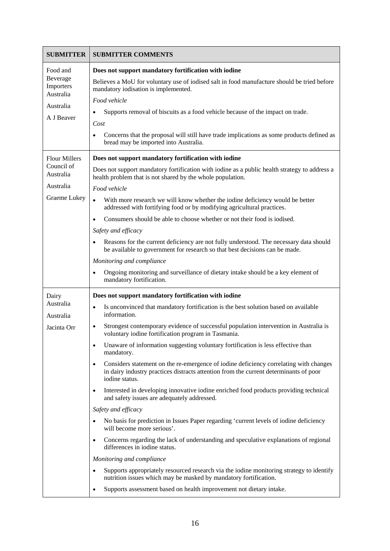| <b>SUBMITTER</b>        | <b>SUBMITTER COMMENTS</b>                                                                                                                                                                                     |
|-------------------------|---------------------------------------------------------------------------------------------------------------------------------------------------------------------------------------------------------------|
| Food and<br>Beverage    | Does not support mandatory fortification with iodine                                                                                                                                                          |
| Importers<br>Australia  | Believes a MoU for voluntary use of iodised salt in food manufacture should be tried before<br>mandatory iodisation is implemented.                                                                           |
| Australia               | Food vehicle                                                                                                                                                                                                  |
| A J Beaver              | Supports removal of biscuits as a food vehicle because of the impact on trade.<br>$\bullet$<br>Cost                                                                                                           |
|                         | Concerns that the proposal will still have trade implications as some products defined as<br>bread may be imported into Australia.                                                                            |
| <b>Flour Millers</b>    | Does not support mandatory fortification with iodine                                                                                                                                                          |
| Council of<br>Australia | Does not support mandatory fortification with iodine as a public health strategy to address a<br>health problem that is not shared by the whole population.                                                   |
| Australia               | Food vehicle                                                                                                                                                                                                  |
| Graeme Lukey            | With more research we will know whether the iodine deficiency would be better<br>$\bullet$<br>addressed with fortifying food or by modifying agricultural practices.                                          |
|                         | Consumers should be able to choose whether or not their food is iodised.<br>$\bullet$                                                                                                                         |
|                         | Safety and efficacy                                                                                                                                                                                           |
|                         | Reasons for the current deficiency are not fully understood. The necessary data should<br>be available to government for research so that best decisions can be made.                                         |
|                         | Monitoring and compliance                                                                                                                                                                                     |
|                         | Ongoing monitoring and surveillance of dietary intake should be a key element of<br>$\bullet$<br>mandatory fortification.                                                                                     |
| Dairy                   | Does not support mandatory fortification with iodine                                                                                                                                                          |
| Australia<br>Australia  | Is unconvinced that mandatory fortification is the best solution based on available<br>$\bullet$<br>information.                                                                                              |
| Jacinta Orr             | Strongest contemporary evidence of successful population intervention in Australia is<br>$\bullet$<br>voluntary iodine fortification program in Tasmania.                                                     |
|                         | Unaware of information suggesting voluntary fortification is less effective than<br>$\bullet$<br>mandatory.                                                                                                   |
|                         | Considers statement on the re-emergence of iodine deficiency correlating with changes<br>$\bullet$<br>in dairy industry practices distracts attention from the current determinants of poor<br>iodine status. |
|                         | Interested in developing innovative iodine enriched food products providing technical<br>$\bullet$<br>and safety issues are adequately addressed.                                                             |
|                         | Safety and efficacy                                                                                                                                                                                           |
|                         | No basis for prediction in Issues Paper regarding 'current levels of iodine deficiency<br>will become more serious'.                                                                                          |
|                         | Concerns regarding the lack of understanding and speculative explanations of regional<br>$\bullet$<br>differences in iodine status.                                                                           |
|                         | Monitoring and compliance                                                                                                                                                                                     |
|                         | Supports appropriately resourced research via the iodine monitoring strategy to identify<br>$\bullet$<br>nutrition issues which may be masked by mandatory fortification.                                     |
|                         | Supports assessment based on health improvement not dietary intake.<br>$\bullet$                                                                                                                              |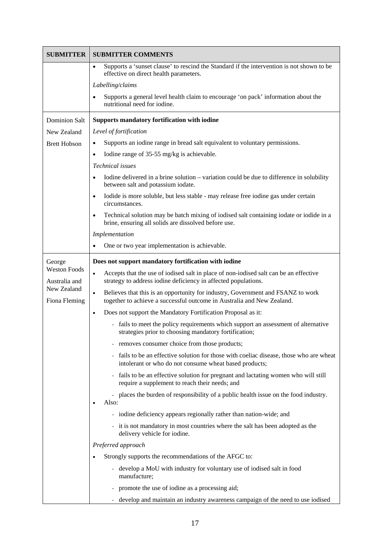| <b>SUBMITTER</b>                     | <b>SUBMITTER COMMENTS</b>                                                                                                                                              |
|--------------------------------------|------------------------------------------------------------------------------------------------------------------------------------------------------------------------|
|                                      | Supports a 'sunset clause' to rescind the Standard if the intervention is not shown to be<br>$\bullet$<br>effective on direct health parameters.                       |
|                                      | Labelling/claims                                                                                                                                                       |
|                                      | Supports a general level health claim to encourage 'on pack' information about the<br>$\bullet$<br>nutritional need for iodine.                                        |
| <b>Dominion Salt</b>                 | Supports mandatory fortification with iodine                                                                                                                           |
| New Zealand                          | Level of fortification                                                                                                                                                 |
| <b>Brett Hobson</b>                  | Supports an iodine range in bread salt equivalent to voluntary permissions.<br>$\bullet$                                                                               |
|                                      | Iodine range of 35-55 mg/kg is achievable.<br>$\bullet$                                                                                                                |
|                                      | Technical issues                                                                                                                                                       |
|                                      | Iodine delivered in a brine solution – variation could be due to difference in solubility<br>between salt and potassium iodate.                                        |
|                                      | Iodide is more soluble, but less stable - may release free iodine gas under certain<br>$\bullet$<br>circumstances.                                                     |
|                                      | Technical solution may be batch mixing of iodised salt containing iodate or iodide in a<br>$\bullet$<br>brine, ensuring all solids are dissolved before use.           |
|                                      | Implementation                                                                                                                                                         |
|                                      | One or two year implementation is achievable.                                                                                                                          |
| George                               | Does not support mandatory fortification with iodine                                                                                                                   |
| <b>Weston Foods</b><br>Australia and | Accepts that the use of iodised salt in place of non-iodised salt can be an effective<br>$\bullet$<br>strategy to address iodine deficiency in affected populations.   |
| New Zealand<br>Fiona Fleming         | Believes that this is an opportunity for industry, Government and FSANZ to work<br>$\bullet$<br>together to achieve a successful outcome in Australia and New Zealand. |
|                                      | Does not support the Mandatory Fortification Proposal as it:<br>$\bullet$                                                                                              |
|                                      | - fails to meet the policy requirements which support an assessment of alternative<br>strategies prior to choosing mandatory fortification;                            |
|                                      | - removes consumer choice from those products;                                                                                                                         |
|                                      | fails to be an effective solution for those with coeliac disease, those who are wheat<br>intolerant or who do not consume wheat based products;                        |
|                                      | - fails to be an effective solution for pregnant and lactating women who will still<br>require a supplement to reach their needs; and                                  |
|                                      | - places the burden of responsibility of a public health issue on the food industry.<br>Also:                                                                          |
|                                      | - iodine deficiency appears regionally rather than nation-wide; and                                                                                                    |
|                                      | - it is not mandatory in most countries where the salt has been adopted as the<br>delivery vehicle for iodine.                                                         |
|                                      | Preferred approach                                                                                                                                                     |
|                                      | Strongly supports the recommendations of the AFGC to:                                                                                                                  |
|                                      | - develop a MoU with industry for voluntary use of iodised salt in food<br>manufacture;                                                                                |
|                                      | promote the use of iodine as a processing aid;                                                                                                                         |
|                                      | develop and maintain an industry awareness campaign of the need to use iodised                                                                                         |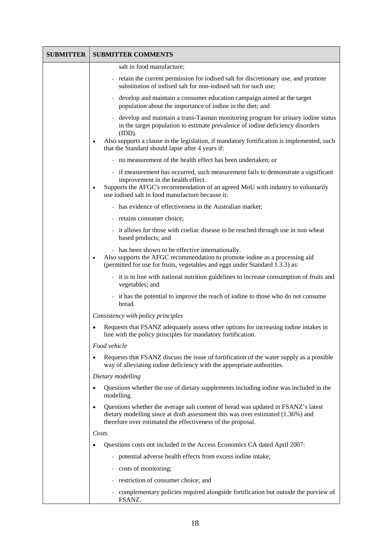| <b>SUBMITTER</b> | <b>SUBMITTER COMMENTS</b>                                                                                                                                                                                                                                                    |
|------------------|------------------------------------------------------------------------------------------------------------------------------------------------------------------------------------------------------------------------------------------------------------------------------|
|                  | salt in food manufacture;                                                                                                                                                                                                                                                    |
|                  | retain the current permission for iodised salt for discretionary use, and promote<br>substitution of iodised salt for non-iodised salt for such use;                                                                                                                         |
|                  | - develop and maintain a consumer education campaign aimed at the target<br>population about the importance of iodine in the diet; and                                                                                                                                       |
|                  | develop and maintain a trans-Tasman monitoring program for urinary iodine status<br>in the target population to estimate prevalence of iodine deficiency disorders<br>(IDD).                                                                                                 |
|                  | Also supports a clause in the legislation, if mandatory fortification is implemented, such<br>$\bullet$<br>that the Standard should lapse after 4 years if:                                                                                                                  |
|                  | - no measurement of the health effect has been undertaken; or                                                                                                                                                                                                                |
|                  | - if measurement has occurred, such measurement fails to demonstrate a significant<br>improvement in the health effect.<br>Supports the AFGC's recommendation of an agreed MoU with industry to voluntarily<br>$\bullet$<br>use iodised salt in food manufacture because it: |
|                  | - has evidence of effectiveness in the Australian market;                                                                                                                                                                                                                    |
|                  | - retains consumer choice;                                                                                                                                                                                                                                                   |
|                  | - it allows for those with coeliac disease to be reached through use in non wheat<br>based products; and                                                                                                                                                                     |
|                  | - has been shown to be effective internationally.<br>Also supports the AFGC recommendation to promote iodine as a processing aid<br>$\bullet$<br>(permitted for use for fruits, vegetables and eggs under Standard 1.3.3) as:                                                |
|                  | - it is in line with national nutrition guidelines to increase consumption of fruits and<br>vegetables; and                                                                                                                                                                  |
|                  | - it has the potential to improve the reach of iodine to those who do not consume<br>bread.                                                                                                                                                                                  |
|                  | Consistency with policy principles                                                                                                                                                                                                                                           |
|                  | Requests that FSANZ adequately assess other options for increasing iodine intakes in<br>line with the policy principles for mandatory fortification.                                                                                                                         |
|                  | Food vehicle                                                                                                                                                                                                                                                                 |
|                  | Requests that FSANZ discuss the issue of fortification of the water supply as a possible<br>way of alleviating iodine deficiency with the appropriate authorities.                                                                                                           |
|                  | Dietary modelling                                                                                                                                                                                                                                                            |
|                  | Questions whether the use of dietary supplements including iodine was included in the<br>$\bullet$<br>modelling.                                                                                                                                                             |
|                  | Questions whether the average salt content of bread was updated in FSANZ's latest<br>$\bullet$<br>dietary modelling since at draft assessment this was over estimated (1.36%) and<br>therefore over estimated the effectiveness of the proposal.                             |
|                  | Costs                                                                                                                                                                                                                                                                        |
|                  | Questions costs not included in the Access Economics CA dated April 2007:                                                                                                                                                                                                    |
|                  | potential adverse health effects from excess iodine intake;                                                                                                                                                                                                                  |
|                  | - costs of monitoring;                                                                                                                                                                                                                                                       |
|                  | - restriction of consumer choice; and                                                                                                                                                                                                                                        |
|                  | - complementary policies required alongside fortification but outside the purview of<br>FSANZ.                                                                                                                                                                               |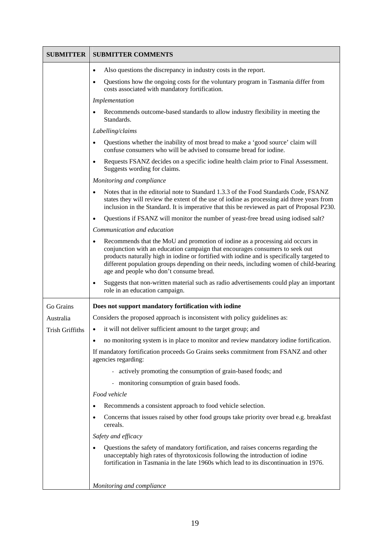| <b>SUBMITTER</b>       | <b>SUBMITTER COMMENTS</b>                                                                                                                                                                                                                                                                                                                                                                        |
|------------------------|--------------------------------------------------------------------------------------------------------------------------------------------------------------------------------------------------------------------------------------------------------------------------------------------------------------------------------------------------------------------------------------------------|
|                        | Also questions the discrepancy in industry costs in the report.<br>٠                                                                                                                                                                                                                                                                                                                             |
|                        | Questions how the ongoing costs for the voluntary program in Tasmania differ from<br>costs associated with mandatory fortification.                                                                                                                                                                                                                                                              |
|                        | Implementation                                                                                                                                                                                                                                                                                                                                                                                   |
|                        | Recommends outcome-based standards to allow industry flexibility in meeting the<br>Standards.                                                                                                                                                                                                                                                                                                    |
|                        | Labelling/claims                                                                                                                                                                                                                                                                                                                                                                                 |
|                        | Questions whether the inability of most bread to make a 'good source' claim will<br>$\bullet$<br>confuse consumers who will be advised to consume bread for iodine.                                                                                                                                                                                                                              |
|                        | Requests FSANZ decides on a specific iodine health claim prior to Final Assessment.<br>Suggests wording for claims.                                                                                                                                                                                                                                                                              |
|                        | Monitoring and compliance                                                                                                                                                                                                                                                                                                                                                                        |
|                        | Notes that in the editorial note to Standard 1.3.3 of the Food Standards Code, FSANZ<br>states they will review the extent of the use of iodine as processing aid three years from<br>inclusion in the Standard. It is imperative that this be reviewed as part of Proposal P230.                                                                                                                |
|                        | Questions if FSANZ will monitor the number of yeast-free bread using iodised salt?                                                                                                                                                                                                                                                                                                               |
|                        | Communication and education                                                                                                                                                                                                                                                                                                                                                                      |
|                        | Recommends that the MoU and promotion of iodine as a processing aid occurs in<br>conjunction with an education campaign that encourages consumers to seek out<br>products naturally high in iodine or fortified with iodine and is specifically targeted to<br>different population groups depending on their needs, including women of child-bearing<br>age and people who don't consume bread. |
|                        | Suggests that non-written material such as radio advertisements could play an important<br>role in an education campaign.                                                                                                                                                                                                                                                                        |
| Go Grains              | Does not support mandatory fortification with iodine                                                                                                                                                                                                                                                                                                                                             |
| Australia              | Considers the proposed approach is inconsistent with policy guidelines as:                                                                                                                                                                                                                                                                                                                       |
| <b>Trish Griffiths</b> | it will not deliver sufficient amount to the target group; and                                                                                                                                                                                                                                                                                                                                   |
|                        | no monitoring system is in place to monitor and review mandatory iodine fortification.                                                                                                                                                                                                                                                                                                           |
|                        | If mandatory fortification proceeds Go Grains seeks commitment from FSANZ and other<br>agencies regarding:                                                                                                                                                                                                                                                                                       |
|                        | - actively promoting the consumption of grain-based foods; and                                                                                                                                                                                                                                                                                                                                   |
|                        | - monitoring consumption of grain based foods.                                                                                                                                                                                                                                                                                                                                                   |
|                        | Food vehicle                                                                                                                                                                                                                                                                                                                                                                                     |
|                        | Recommends a consistent approach to food vehicle selection.                                                                                                                                                                                                                                                                                                                                      |
|                        | Concerns that issues raised by other food groups take priority over bread e.g. breakfast<br>cereals.                                                                                                                                                                                                                                                                                             |
|                        | Safety and efficacy                                                                                                                                                                                                                                                                                                                                                                              |
|                        | Questions the safety of mandatory fortification, and raises concerns regarding the<br>unacceptably high rates of thyrotoxicosis following the introduction of iodine<br>fortification in Tasmania in the late 1960s which lead to its discontinuation in 1976.                                                                                                                                   |
|                        | Monitoring and compliance                                                                                                                                                                                                                                                                                                                                                                        |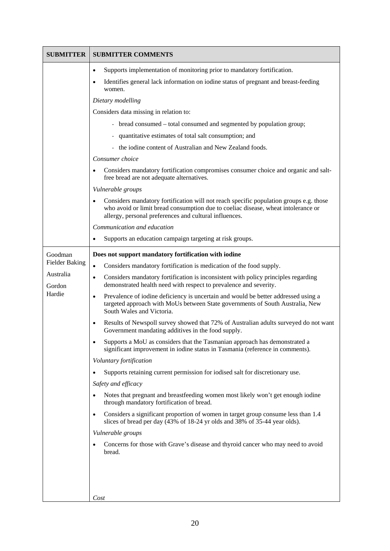| <b>SUBMITTER</b>      | <b>SUBMITTER COMMENTS</b>                                                                                                                                                                                                             |
|-----------------------|---------------------------------------------------------------------------------------------------------------------------------------------------------------------------------------------------------------------------------------|
|                       | Supports implementation of monitoring prior to mandatory fortification.<br>$\bullet$                                                                                                                                                  |
|                       | Identifies general lack information on iodine status of pregnant and breast-feeding<br>$\bullet$<br>women.                                                                                                                            |
|                       | Dietary modelling                                                                                                                                                                                                                     |
|                       | Considers data missing in relation to:                                                                                                                                                                                                |
|                       | - bread consumed – total consumed and segmented by population group;                                                                                                                                                                  |
|                       | - quantitative estimates of total salt consumption; and                                                                                                                                                                               |
|                       | - the iodine content of Australian and New Zealand foods.                                                                                                                                                                             |
|                       | Consumer choice                                                                                                                                                                                                                       |
|                       | Considers mandatory fortification compromises consumer choice and organic and salt-<br>free bread are not adequate alternatives.                                                                                                      |
|                       | Vulnerable groups                                                                                                                                                                                                                     |
|                       | Considers mandatory fortification will not reach specific population groups e.g. those<br>who avoid or limit bread consumption due to coeliac disease, wheat intolerance or<br>allergy, personal preferences and cultural influences. |
|                       | Communication and education                                                                                                                                                                                                           |
|                       | Supports an education campaign targeting at risk groups.                                                                                                                                                                              |
| Goodman               | Does not support mandatory fortification with iodine                                                                                                                                                                                  |
| <b>Fielder Baking</b> | Considers mandatory fortification is medication of the food supply.<br>$\bullet$                                                                                                                                                      |
| Australia<br>Gordon   | Considers mandatory fortification is inconsistent with policy principles regarding<br>$\bullet$<br>demonstrated health need with respect to prevalence and severity.                                                                  |
| Hardie                | Prevalence of iodine deficiency is uncertain and would be better addressed using a<br>$\bullet$<br>targeted approach with MoUs between State governments of South Australia, New<br>South Wales and Victoria.                         |
|                       | Results of Newspoll survey showed that 72% of Australian adults surveyed do not want<br>$\bullet$<br>Government mandating additives in the food supply.                                                                               |
|                       | Supports a MoU as considers that the Tasmanian approach has demonstrated a<br>significant improvement in iodine status in Tasmania (reference in comments).                                                                           |
|                       | Voluntary fortification                                                                                                                                                                                                               |
|                       | Supports retaining current permission for iodised salt for discretionary use.                                                                                                                                                         |
|                       | Safety and efficacy                                                                                                                                                                                                                   |
|                       | Notes that pregnant and breastfeeding women most likely won't get enough iodine<br>through mandatory fortification of bread.                                                                                                          |
|                       | Considers a significant proportion of women in target group consume less than 1.4<br>$\bullet$<br>slices of bread per day (43% of 18-24 yr olds and 38% of 35-44 year olds).                                                          |
|                       | Vulnerable groups                                                                                                                                                                                                                     |
|                       | Concerns for those with Grave's disease and thyroid cancer who may need to avoid<br>bread.                                                                                                                                            |
|                       |                                                                                                                                                                                                                                       |
|                       |                                                                                                                                                                                                                                       |
|                       | Cost                                                                                                                                                                                                                                  |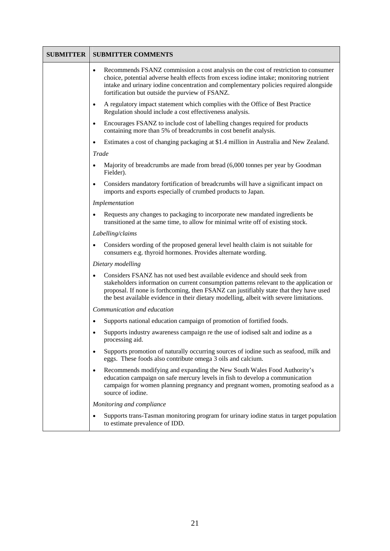| <b>SUBMITTER</b> | <b>SUBMITTER COMMENTS</b>                                                                                                                                                                                                                                                                                                                                              |
|------------------|------------------------------------------------------------------------------------------------------------------------------------------------------------------------------------------------------------------------------------------------------------------------------------------------------------------------------------------------------------------------|
|                  | Recommends FSANZ commission a cost analysis on the cost of restriction to consumer<br>$\bullet$<br>choice, potential adverse health effects from excess iodine intake; monitoring nutrient<br>intake and urinary iodine concentration and complementary policies required alongside<br>fortification but outside the purview of FSANZ.                                 |
|                  | A regulatory impact statement which complies with the Office of Best Practice<br>$\bullet$<br>Regulation should include a cost effectiveness analysis.                                                                                                                                                                                                                 |
|                  | Encourages FSANZ to include cost of labelling changes required for products<br>$\bullet$<br>containing more than 5% of breadcrumbs in cost benefit analysis.                                                                                                                                                                                                           |
|                  | Estimates a cost of changing packaging at \$1.4 million in Australia and New Zealand.<br>$\bullet$                                                                                                                                                                                                                                                                     |
|                  | Trade                                                                                                                                                                                                                                                                                                                                                                  |
|                  | Majority of breadcrumbs are made from bread (6,000 tonnes per year by Goodman<br>Fielder).                                                                                                                                                                                                                                                                             |
|                  | Considers mandatory fortification of breadcrumbs will have a significant impact on<br>imports and exports especially of crumbed products to Japan.                                                                                                                                                                                                                     |
|                  | Implementation                                                                                                                                                                                                                                                                                                                                                         |
|                  | Requests any changes to packaging to incorporate new mandated ingredients be<br>transitioned at the same time, to allow for minimal write off of existing stock.                                                                                                                                                                                                       |
|                  | Labelling/claims                                                                                                                                                                                                                                                                                                                                                       |
|                  | Considers wording of the proposed general level health claim is not suitable for<br>$\bullet$<br>consumers e.g. thyroid hormones. Provides alternate wording.                                                                                                                                                                                                          |
|                  | Dietary modelling                                                                                                                                                                                                                                                                                                                                                      |
|                  | Considers FSANZ has not used best available evidence and should seek from<br>$\bullet$<br>stakeholders information on current consumption patterns relevant to the application or<br>proposal. If none is forthcoming, then FSANZ can justifiably state that they have used<br>the best available evidence in their dietary modelling, albeit with severe limitations. |
|                  | Communication and education                                                                                                                                                                                                                                                                                                                                            |
|                  | Supports national education campaign of promotion of fortified foods.<br>$\bullet$                                                                                                                                                                                                                                                                                     |
|                  | Supports industry awareness campaign re the use of iodised salt and iodine as a<br>processing aid.                                                                                                                                                                                                                                                                     |
|                  | Supports promotion of naturally occurring sources of iodine such as seafood, milk and<br>$\bullet$<br>eggs. These foods also contribute omega 3 oils and calcium.                                                                                                                                                                                                      |
|                  | Recommends modifying and expanding the New South Wales Food Authority's<br>$\bullet$<br>education campaign on safe mercury levels in fish to develop a communication<br>campaign for women planning pregnancy and pregnant women, promoting seafood as a<br>source of iodine.                                                                                          |
|                  | Monitoring and compliance                                                                                                                                                                                                                                                                                                                                              |
|                  | Supports trans-Tasman monitoring program for urinary iodine status in target population<br>to estimate prevalence of IDD.                                                                                                                                                                                                                                              |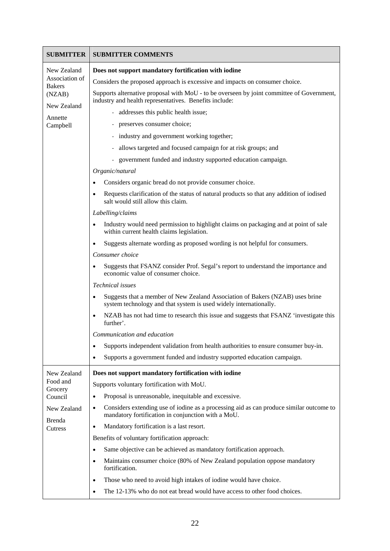| <b>SUBMITTER</b>                | <b>SUBMITTER COMMENTS</b>                                                                                                                           |
|---------------------------------|-----------------------------------------------------------------------------------------------------------------------------------------------------|
| New Zealand                     | Does not support mandatory fortification with iodine                                                                                                |
| Association of<br><b>Bakers</b> | Considers the proposed approach is excessive and impacts on consumer choice.                                                                        |
| (NZAB)<br>New Zealand           | Supports alternative proposal with MoU - to be overseen by joint committee of Government,<br>industry and health representatives. Benefits include: |
| Annette                         | addresses this public health issue;                                                                                                                 |
| Campbell                        | - preserves consumer choice;                                                                                                                        |
|                                 | - industry and government working together;                                                                                                         |
|                                 | - allows targeted and focused campaign for at risk groups; and                                                                                      |
|                                 | - government funded and industry supported education campaign.                                                                                      |
|                                 | Organic/natural                                                                                                                                     |
|                                 | Considers organic bread do not provide consumer choice.                                                                                             |
|                                 | Requests clarification of the status of natural products so that any addition of iodised<br>salt would still allow this claim.                      |
|                                 | Labelling/claims                                                                                                                                    |
|                                 | Industry would need permission to highlight claims on packaging and at point of sale<br>within current health claims legislation.                   |
|                                 | Suggests alternate wording as proposed wording is not helpful for consumers.                                                                        |
|                                 | Consumer choice                                                                                                                                     |
|                                 | Suggests that FSANZ consider Prof. Segal's report to understand the importance and<br>economic value of consumer choice.                            |
|                                 | Technical issues                                                                                                                                    |
|                                 | Suggests that a member of New Zealand Association of Bakers (NZAB) uses brine<br>system technology and that system is used widely internationally.  |
|                                 | NZAB has not had time to research this issue and suggests that FSANZ 'investigate this<br>further'.                                                 |
|                                 | Communication and education                                                                                                                         |
|                                 | Supports independent validation from health authorities to ensure consumer buy-in.<br>$\bullet$                                                     |
|                                 | Supports a government funded and industry supported education campaign.<br>٠                                                                        |
| New Zealand                     | Does not support mandatory fortification with iodine                                                                                                |
| Food and<br>Grocery             | Supports voluntary fortification with MoU.                                                                                                          |
| Council                         | Proposal is unreasonable, inequitable and excessive.                                                                                                |
| New Zealand                     | Considers extending use of iodine as a processing aid as can produce similar outcome to<br>mandatory fortification in conjunction with a MoU.       |
| Brenda<br>Cutress               | Mandatory fortification is a last resort.<br>$\bullet$                                                                                              |
|                                 | Benefits of voluntary fortification approach:                                                                                                       |
|                                 | Same objective can be achieved as mandatory fortification approach.<br>$\bullet$                                                                    |
|                                 | Maintains consumer choice (80% of New Zealand population oppose mandatory<br>$\bullet$<br>fortification.                                            |
|                                 | Those who need to avoid high intakes of iodine would have choice.<br>$\bullet$                                                                      |
|                                 | The 12-13% who do not eat bread would have access to other food choices.<br>٠                                                                       |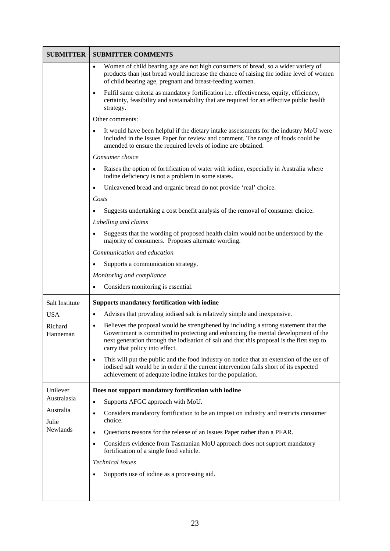| <b>SUBMITTER</b>                              | <b>SUBMITTER COMMENTS</b>                                                                                                                                                                                                                                                                                      |
|-----------------------------------------------|----------------------------------------------------------------------------------------------------------------------------------------------------------------------------------------------------------------------------------------------------------------------------------------------------------------|
|                                               | Women of child bearing age are not high consumers of bread, so a wider variety of<br>$\bullet$<br>products than just bread would increase the chance of raising the iodine level of women<br>of child bearing age, pregnant and breast-feeding women.                                                          |
|                                               | Fulfil same criteria as mandatory fortification i.e. effectiveness, equity, efficiency,<br>$\bullet$<br>certainty, feasibility and sustainability that are required for an effective public health<br>strategy.                                                                                                |
|                                               | Other comments:                                                                                                                                                                                                                                                                                                |
|                                               | It would have been helpful if the dietary intake assessments for the industry MoU were<br>included in the Issues Paper for review and comment. The range of foods could be<br>amended to ensure the required levels of iodine are obtained.                                                                    |
|                                               | Consumer choice                                                                                                                                                                                                                                                                                                |
|                                               | Raises the option of fortification of water with iodine, especially in Australia where<br>iodine deficiency is not a problem in some states.                                                                                                                                                                   |
|                                               | Unleavened bread and organic bread do not provide 'real' choice.                                                                                                                                                                                                                                               |
|                                               | Costs                                                                                                                                                                                                                                                                                                          |
|                                               | Suggests undertaking a cost benefit analysis of the removal of consumer choice.                                                                                                                                                                                                                                |
|                                               | Labelling and claims                                                                                                                                                                                                                                                                                           |
|                                               | Suggests that the wording of proposed health claim would not be understood by the<br>majority of consumers. Proposes alternate wording.                                                                                                                                                                        |
|                                               | Communication and education                                                                                                                                                                                                                                                                                    |
|                                               | Supports a communication strategy.                                                                                                                                                                                                                                                                             |
|                                               | Monitoring and compliance                                                                                                                                                                                                                                                                                      |
|                                               | Considers monitoring is essential.                                                                                                                                                                                                                                                                             |
| Salt Institute                                | <b>Supports mandatory fortification with iodine</b>                                                                                                                                                                                                                                                            |
| <b>USA</b>                                    | Advises that providing iodised salt is relatively simple and inexpensive.<br>$\bullet$                                                                                                                                                                                                                         |
| Richard<br>Hanneman                           | Believes the proposal would be strengthened by including a strong statement that the<br>٠<br>Government is committed to protecting and enhancing the mental development of the<br>next generation through the iodisation of salt and that this proposal is the first step to<br>carry that policy into effect. |
|                                               | This will put the public and the food industry on notice that an extension of the use of<br>$\bullet$<br>iodised salt would be in order if the current intervention falls short of its expected<br>achievement of adequate iodine intakes for the population.                                                  |
| Unilever                                      | Does not support mandatory fortification with iodine                                                                                                                                                                                                                                                           |
| Australasia<br>Australia<br>Julie<br>Newlands | Supports AFGC approach with MoU.<br>٠                                                                                                                                                                                                                                                                          |
|                                               | Considers mandatory fortification to be an impost on industry and restricts consumer<br>٠<br>choice.                                                                                                                                                                                                           |
|                                               | Questions reasons for the release of an Issues Paper rather than a PFAR.<br>$\bullet$                                                                                                                                                                                                                          |
|                                               | Considers evidence from Tasmanian MoU approach does not support mandatory<br>٠<br>fortification of a single food vehicle.                                                                                                                                                                                      |
|                                               | Technical issues                                                                                                                                                                                                                                                                                               |
|                                               | Supports use of iodine as a processing aid.                                                                                                                                                                                                                                                                    |
|                                               |                                                                                                                                                                                                                                                                                                                |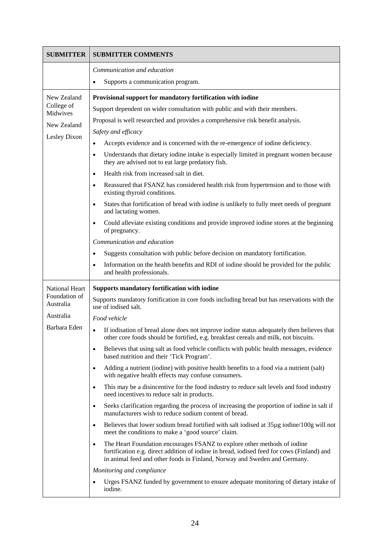| <b>SUBMITTER</b>           | <b>SUBMITTER COMMENTS</b>                                                                                                                                                                                                                                        |
|----------------------------|------------------------------------------------------------------------------------------------------------------------------------------------------------------------------------------------------------------------------------------------------------------|
|                            | Communication and education                                                                                                                                                                                                                                      |
|                            | Supports a communication program.<br>$\bullet$                                                                                                                                                                                                                   |
| New Zealand                | Provisional support for mandatory fortification with iodine                                                                                                                                                                                                      |
| College of<br>Midwives     | Support dependent on wider consultation with public and with their members.                                                                                                                                                                                      |
| New Zealand                | Proposal is well researched and provides a comprehensive risk benefit analysis.                                                                                                                                                                                  |
| Lesley Dixon               | Safety and efficacy                                                                                                                                                                                                                                              |
|                            | Accepts evidence and is concerned with the re-emergence of iodine deficiency.<br>$\bullet$                                                                                                                                                                       |
|                            | Understands that dietary iodine intake is especially limited in pregnant women because<br>$\bullet$<br>they are advised not to eat large predatory fish.                                                                                                         |
|                            | Health risk from increased salt in diet.<br>$\bullet$                                                                                                                                                                                                            |
|                            | Reassured that FSANZ has considered health risk from hypertension and to those with<br>$\bullet$<br>existing thyroid conditions.                                                                                                                                 |
|                            | States that fortification of bread with iodine is unlikely to fully meet needs of pregnant<br>$\bullet$<br>and lactating women.                                                                                                                                  |
|                            | Could alleviate existing conditions and provide improved iodine stores at the beginning<br>of pregnancy.                                                                                                                                                         |
|                            | Communication and education                                                                                                                                                                                                                                      |
|                            | Suggests consultation with public before decision on mandatory fortification.<br>$\bullet$                                                                                                                                                                       |
|                            | Information on the health benefits and RDI of iodine should be provided for the public<br>$\bullet$<br>and health professionals.                                                                                                                                 |
| <b>National Heart</b>      | Supports mandatory fortification with iodine                                                                                                                                                                                                                     |
| Foundation of<br>Australia | Supports mandatory fortification in core foods including bread but has reservations with the<br>use of iodised salt.                                                                                                                                             |
| Australia                  | Food vehicle                                                                                                                                                                                                                                                     |
| Barbara Eden               | If iodisation of bread alone does not improve iodine status adequately then believes that<br>other core foods should be fortified, e.g. breakfast cereals and milk, not biscuits.                                                                                |
|                            | Believes that using salt as food vehicle conflicts with public health messages, evidence<br>$\bullet$<br>based nutrition and their 'Tick Program'.                                                                                                               |
|                            | Adding a nutrient (iodine) with positive health benefits to a food via a nutrient (salt)<br>$\bullet$<br>with negative health effects may confuse consumers.                                                                                                     |
|                            | This may be a disincentive for the food industry to reduce salt levels and food industry<br>$\bullet$<br>need incentives to reduce salt in products.                                                                                                             |
|                            | Seeks clarification regarding the process of increasing the proportion of iodine in salt if<br>$\bullet$<br>manufacturers wish to reduce sodium content of bread.                                                                                                |
|                            | Believes that lower sodium bread fortified with salt iodised at 35µg iodine/100g will not<br>$\bullet$<br>meet the conditions to make a 'good source' claim.                                                                                                     |
|                            | The Heart Foundation encourages FSANZ to explore other methods of iodine<br>$\bullet$<br>fortification e.g. direct addition of iodine in bread, iodised feed for cows (Finland) and<br>in animal feed and other foods in Finland, Norway and Sweden and Germany. |
|                            | Monitoring and compliance                                                                                                                                                                                                                                        |
|                            | Urges FSANZ funded by government to ensure adequate monitoring of dietary intake of<br>iodine.                                                                                                                                                                   |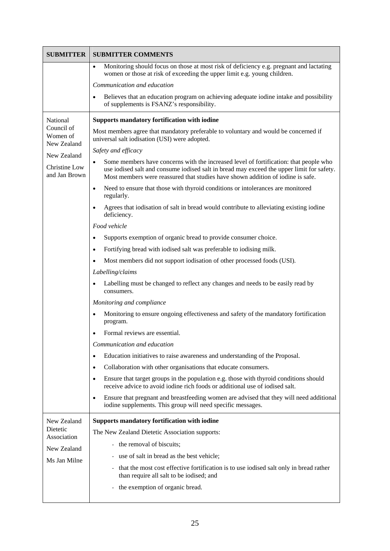| <b>SUBMITTER</b>                      | <b>SUBMITTER COMMENTS</b>                                                                                                                                                                                                                                             |
|---------------------------------------|-----------------------------------------------------------------------------------------------------------------------------------------------------------------------------------------------------------------------------------------------------------------------|
|                                       | Monitoring should focus on those at most risk of deficiency e.g. pregnant and lactating<br>$\bullet$<br>women or those at risk of exceeding the upper limit e.g. young children.                                                                                      |
|                                       | Communication and education                                                                                                                                                                                                                                           |
|                                       | Believes that an education program on achieving adequate iodine intake and possibility<br>$\bullet$<br>of supplements is FSANZ's responsibility.                                                                                                                      |
| National                              | <b>Supports mandatory fortification with iodine</b>                                                                                                                                                                                                                   |
| Council of<br>Women of<br>New Zealand | Most members agree that mandatory preferable to voluntary and would be concerned if<br>universal salt iodisation (USI) were adopted.                                                                                                                                  |
| New Zealand                           | Safety and efficacy                                                                                                                                                                                                                                                   |
| Christine Low<br>and Jan Brown        | Some members have concerns with the increased level of fortification: that people who<br>use iodised salt and consume iodised salt in bread may exceed the upper limit for safety.<br>Most members were reassured that studies have shown addition of iodine is safe. |
|                                       | Need to ensure that those with thyroid conditions or intolerances are monitored<br>regularly.                                                                                                                                                                         |
|                                       | Agrees that iodisation of salt in bread would contribute to alleviating existing iodine<br>$\bullet$<br>deficiency.                                                                                                                                                   |
|                                       | Food vehicle                                                                                                                                                                                                                                                          |
|                                       | Supports exemption of organic bread to provide consumer choice.<br>$\bullet$                                                                                                                                                                                          |
|                                       | Fortifying bread with iodised salt was preferable to iodising milk.                                                                                                                                                                                                   |
|                                       | Most members did not support iodisation of other processed foods (USI).                                                                                                                                                                                               |
|                                       | Labelling/claims                                                                                                                                                                                                                                                      |
|                                       | Labelling must be changed to reflect any changes and needs to be easily read by<br>$\bullet$<br>consumers.                                                                                                                                                            |
|                                       | Monitoring and compliance                                                                                                                                                                                                                                             |
|                                       | Monitoring to ensure ongoing effectiveness and safety of the mandatory fortification<br>program.                                                                                                                                                                      |
|                                       | Formal reviews are essential.                                                                                                                                                                                                                                         |
|                                       | Communication and education                                                                                                                                                                                                                                           |
|                                       | Education initiatives to raise awareness and understanding of the Proposal.<br>٠                                                                                                                                                                                      |
|                                       | Collaboration with other organisations that educate consumers.<br>$\bullet$                                                                                                                                                                                           |
|                                       | Ensure that target groups in the population e.g. those with thyroid conditions should<br>$\bullet$<br>receive advice to avoid iodine rich foods or additional use of iodised salt.                                                                                    |
|                                       | Ensure that pregnant and breastfeeding women are advised that they will need additional<br>$\bullet$<br>iodine supplements. This group will need specific messages.                                                                                                   |
| New Zealand                           | Supports mandatory fortification with iodine                                                                                                                                                                                                                          |
| Dietetic<br>Association               | The New Zealand Dietetic Association supports:                                                                                                                                                                                                                        |
| New Zealand                           | - the removal of biscuits;                                                                                                                                                                                                                                            |
| Ms Jan Milne                          | use of salt in bread as the best vehicle;                                                                                                                                                                                                                             |
|                                       | that the most cost effective fortification is to use iodised salt only in bread rather<br>than require all salt to be iodised; and                                                                                                                                    |
|                                       | the exemption of organic bread.                                                                                                                                                                                                                                       |
|                                       |                                                                                                                                                                                                                                                                       |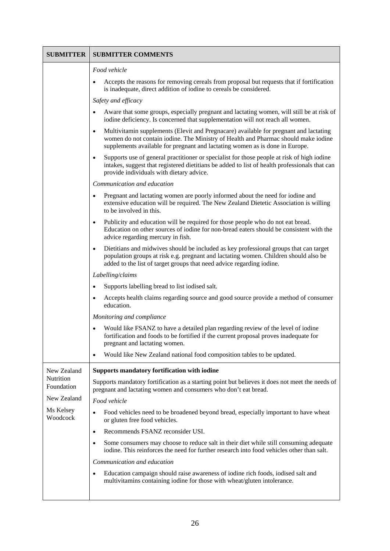| <b>SUBMITTER</b>                                                | <b>SUBMITTER COMMENTS</b>                                                                                                                                                                                                                                                |
|-----------------------------------------------------------------|--------------------------------------------------------------------------------------------------------------------------------------------------------------------------------------------------------------------------------------------------------------------------|
|                                                                 | Food vehicle                                                                                                                                                                                                                                                             |
|                                                                 | Accepts the reasons for removing cereals from proposal but requests that if fortification<br>is inadequate, direct addition of iodine to cereals be considered.                                                                                                          |
|                                                                 | Safety and efficacy                                                                                                                                                                                                                                                      |
|                                                                 | Aware that some groups, especially pregnant and lactating women, will still be at risk of<br>iodine deficiency. Is concerned that supplementation will not reach all women.                                                                                              |
|                                                                 | Multivitamin supplements (Elevit and Pregnacare) available for pregnant and lactating<br>$\bullet$<br>women do not contain iodine. The Ministry of Health and Pharmac should make iodine<br>supplements available for pregnant and lactating women as is done in Europe. |
|                                                                 | Supports use of general practitioner or specialist for those people at risk of high iodine<br>intakes, suggest that registered dietitians be added to list of health professionals that can<br>provide individuals with dietary advice.                                  |
|                                                                 | Communication and education                                                                                                                                                                                                                                              |
|                                                                 | Pregnant and lactating women are poorly informed about the need for iodine and<br>extensive education will be required. The New Zealand Dietetic Association is willing<br>to be involved in this.                                                                       |
|                                                                 | Publicity and education will be required for those people who do not eat bread.<br>Education on other sources of iodine for non-bread eaters should be consistent with the<br>advice regarding mercury in fish.                                                          |
|                                                                 | Dietitians and midwives should be included as key professional groups that can target<br>$\bullet$<br>population groups at risk e.g. pregnant and lactating women. Children should also be<br>added to the list of target groups that need advice regarding iodine.      |
|                                                                 | Labelling/claims                                                                                                                                                                                                                                                         |
|                                                                 | Supports labelling bread to list iodised salt.                                                                                                                                                                                                                           |
|                                                                 | Accepts health claims regarding source and good source provide a method of consumer<br>education.                                                                                                                                                                        |
|                                                                 | Monitoring and compliance                                                                                                                                                                                                                                                |
|                                                                 | Would like FSANZ to have a detailed plan regarding review of the level of iodine<br>fortification and foods to be fortified if the current proposal proves inadequate for<br>pregnant and lactating women.                                                               |
|                                                                 | Would like New Zealand national food composition tables to be updated.<br>$\bullet$                                                                                                                                                                                      |
| New Zealand                                                     | <b>Supports mandatory fortification with iodine</b>                                                                                                                                                                                                                      |
| Nutrition<br>Foundation<br>New Zealand<br>Ms Kelsey<br>Woodcock | Supports mandatory fortification as a starting point but believes it does not meet the needs of<br>pregnant and lactating women and consumers who don't eat bread.                                                                                                       |
|                                                                 | Food vehicle                                                                                                                                                                                                                                                             |
|                                                                 | Food vehicles need to be broadened beyond bread, especially important to have wheat<br>$\bullet$<br>or gluten free food vehicles.                                                                                                                                        |
|                                                                 | Recommends FSANZ reconsider USI.<br>$\bullet$                                                                                                                                                                                                                            |
|                                                                 | Some consumers may choose to reduce salt in their diet while still consuming adequate<br>$\bullet$<br>iodine. This reinforces the need for further research into food vehicles other than salt.                                                                          |
|                                                                 | Communication and education                                                                                                                                                                                                                                              |
|                                                                 | Education campaign should raise awareness of iodine rich foods, iodised salt and<br>$\bullet$<br>multivitamins containing iodine for those with wheat/gluten intolerance.                                                                                                |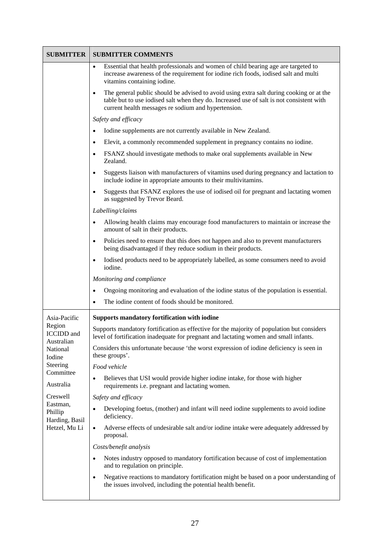| <b>SUBMITTER</b>                                       | <b>SUBMITTER COMMENTS</b>                                                                                                                                                                                                                  |
|--------------------------------------------------------|--------------------------------------------------------------------------------------------------------------------------------------------------------------------------------------------------------------------------------------------|
|                                                        | Essential that health professionals and women of child bearing age are targeted to<br>$\bullet$<br>increase awareness of the requirement for iodine rich foods, iodised salt and multi<br>vitamins containing iodine.                      |
|                                                        | The general public should be advised to avoid using extra salt during cooking or at the<br>table but to use iodised salt when they do. Increased use of salt is not consistent with<br>current health messages re sodium and hypertension. |
|                                                        | Safety and efficacy                                                                                                                                                                                                                        |
|                                                        | Iodine supplements are not currently available in New Zealand.                                                                                                                                                                             |
|                                                        | Elevit, a commonly recommended supplement in pregnancy contains no iodine.<br>٠                                                                                                                                                            |
|                                                        | FSANZ should investigate methods to make oral supplements available in New<br>$\bullet$<br>Zealand.                                                                                                                                        |
|                                                        | Suggests liaison with manufacturers of vitamins used during pregnancy and lactation to<br>include iodine in appropriate amounts to their multivitamins.                                                                                    |
|                                                        | Suggests that FSANZ explores the use of iodised oil for pregnant and lactating women<br>as suggested by Trevor Beard.                                                                                                                      |
|                                                        | Labelling/claims                                                                                                                                                                                                                           |
|                                                        | Allowing health claims may encourage food manufacturers to maintain or increase the<br>$\bullet$<br>amount of salt in their products.                                                                                                      |
|                                                        | Policies need to ensure that this does not happen and also to prevent manufacturers<br>$\bullet$<br>being disadvantaged if they reduce sodium in their products.                                                                           |
|                                                        | Iodised products need to be appropriately labelled, as some consumers need to avoid<br>iodine.                                                                                                                                             |
|                                                        | Monitoring and compliance                                                                                                                                                                                                                  |
|                                                        | Ongoing monitoring and evaluation of the iodine status of the population is essential.                                                                                                                                                     |
|                                                        | The iodine content of foods should be monitored.                                                                                                                                                                                           |
| Asia-Pacific                                           | <b>Supports mandatory fortification with iodine</b>                                                                                                                                                                                        |
| Region<br><b>ICCIDD</b> and<br>Australian              | Supports mandatory fortification as effective for the majority of population but considers<br>level of fortification inadequate for pregnant and lactating women and small infants.                                                        |
| National<br>Iodine                                     | Considers this unfortunate because 'the worst expression of iodine deficiency is seen in<br>these groups'.                                                                                                                                 |
| Steering                                               | Food vehicle                                                                                                                                                                                                                               |
| Committee<br>Australia                                 | Believes that USI would provide higher iodine intake, for those with higher<br>requirements i.e. pregnant and lactating women.                                                                                                             |
| Creswell                                               | Safety and efficacy                                                                                                                                                                                                                        |
| Eastman,<br>Phillip<br>Harding, Basil<br>Hetzel, Mu Li | Developing foetus, (mother) and infant will need iodine supplements to avoid iodine<br>$\bullet$<br>deficiency.                                                                                                                            |
|                                                        | Adverse effects of undesirable salt and/or iodine intake were adequately addressed by<br>$\bullet$<br>proposal.                                                                                                                            |
|                                                        | Costs/benefit analysis                                                                                                                                                                                                                     |
|                                                        | Notes industry opposed to mandatory fortification because of cost of implementation<br>and to regulation on principle.                                                                                                                     |
|                                                        | Negative reactions to mandatory fortification might be based on a poor understanding of<br>$\bullet$<br>the issues involved, including the potential health benefit.                                                                       |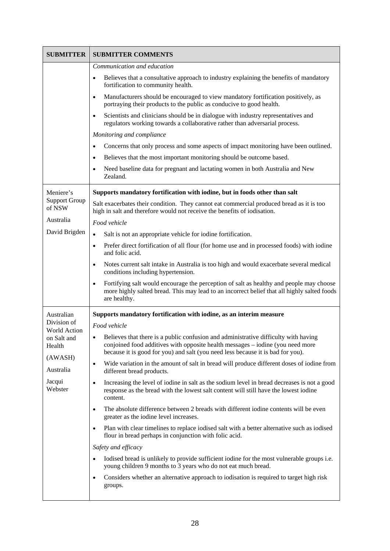| <b>SUBMITTER</b>                      | <b>SUBMITTER COMMENTS</b>                                                                                                                                                                                                                                |
|---------------------------------------|----------------------------------------------------------------------------------------------------------------------------------------------------------------------------------------------------------------------------------------------------------|
|                                       | Communication and education                                                                                                                                                                                                                              |
|                                       | Believes that a consultative approach to industry explaining the benefits of mandatory<br>$\bullet$<br>fortification to community health.                                                                                                                |
|                                       | Manufacturers should be encouraged to view mandatory fortification positively, as<br>$\bullet$<br>portraying their products to the public as conducive to good health.                                                                                   |
|                                       | Scientists and clinicians should be in dialogue with industry representatives and<br>$\bullet$<br>regulators working towards a collaborative rather than adversarial process.                                                                            |
|                                       | Monitoring and compliance                                                                                                                                                                                                                                |
|                                       | Concerns that only process and some aspects of impact monitoring have been outlined.                                                                                                                                                                     |
|                                       | Believes that the most important monitoring should be outcome based.<br>٠                                                                                                                                                                                |
|                                       | Need baseline data for pregnant and lactating women in both Australia and New<br>$\bullet$<br>Zealand.                                                                                                                                                   |
| Meniere's                             | Supports mandatory fortification with iodine, but in foods other than salt                                                                                                                                                                               |
| <b>Support Group</b><br>of NSW        | Salt exacerbates their condition. They cannot eat commercial produced bread as it is too<br>high in salt and therefore would not receive the benefits of iodisation.                                                                                     |
| Australia                             | Food vehicle                                                                                                                                                                                                                                             |
| David Brigden                         | Salt is not an appropriate vehicle for iodine fortification.                                                                                                                                                                                             |
|                                       | Prefer direct fortification of all flour (for home use and in processed foods) with iodine<br>$\bullet$<br>and folic acid.                                                                                                                               |
|                                       | Notes current salt intake in Australia is too high and would exacerbate several medical<br>٠<br>conditions including hypertension.                                                                                                                       |
|                                       | Fortifying salt would encourage the perception of salt as healthy and people may choose<br>$\bullet$<br>more highly salted bread. This may lead to an incorrect belief that all highly salted foods<br>are healthy.                                      |
| Australian                            | Supports mandatory fortification with iodine, as an interim measure                                                                                                                                                                                      |
| Division of                           | Food vehicle                                                                                                                                                                                                                                             |
| World Action<br>on Salt and<br>Health | Believes that there is a public confusion and administrative difficulty with having<br>conjoined food additives with opposite health messages - iodine (you need more<br>because it is good for you) and salt (you need less because it is bad for you). |
| (AWASH)                               | Wide variation in the amount of salt in bread will produce different doses of iodine from<br>$\bullet$                                                                                                                                                   |
| Australia                             | different bread products.                                                                                                                                                                                                                                |
| Jacqui<br>Webster                     | Increasing the level of iodine in salt as the sodium level in bread decreases is not a good<br>٠<br>response as the bread with the lowest salt content will still have the lowest iodine<br>content.                                                     |
|                                       | The absolute difference between 2 breads with different iodine contents will be even<br>$\bullet$<br>greater as the iodine level increases.                                                                                                              |
|                                       | Plan with clear timelines to replace iodised salt with a better alternative such as iodised<br>$\bullet$<br>flour in bread perhaps in conjunction with folic acid.                                                                                       |
|                                       | Safety and efficacy                                                                                                                                                                                                                                      |
|                                       | Iodised bread is unlikely to provide sufficient iodine for the most vulnerable groups i.e.<br>$\bullet$<br>young children 9 months to 3 years who do not eat much bread.                                                                                 |
|                                       | Considers whether an alternative approach to iodisation is required to target high risk<br>$\bullet$<br>groups.                                                                                                                                          |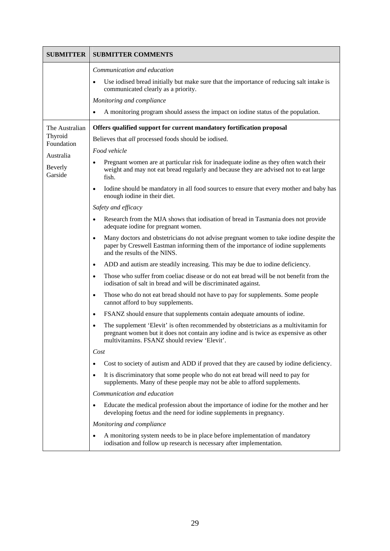| <b>SUBMITTER</b>      | <b>SUBMITTER COMMENTS</b>                                                                                                                                                                                                                |
|-----------------------|------------------------------------------------------------------------------------------------------------------------------------------------------------------------------------------------------------------------------------------|
|                       | Communication and education                                                                                                                                                                                                              |
|                       | Use iodised bread initially but make sure that the importance of reducing salt intake is<br>communicated clearly as a priority.                                                                                                          |
|                       | Monitoring and compliance                                                                                                                                                                                                                |
|                       | A monitoring program should assess the impact on iodine status of the population.<br>$\bullet$                                                                                                                                           |
| The Australian        | Offers qualified support for current mandatory fortification proposal                                                                                                                                                                    |
| Thyroid<br>Foundation | Believes that all processed foods should be iodised.                                                                                                                                                                                     |
| Australia             | Food vehicle                                                                                                                                                                                                                             |
| Beverly<br>Garside    | Pregnant women are at particular risk for inadequate iodine as they often watch their<br>weight and may not eat bread regularly and because they are advised not to eat large<br>fish.                                                   |
|                       | Iodine should be mandatory in all food sources to ensure that every mother and baby has<br>$\bullet$<br>enough iodine in their diet.                                                                                                     |
|                       | Safety and efficacy                                                                                                                                                                                                                      |
|                       | Research from the MJA shows that iodisation of bread in Tasmania does not provide<br>adequate iodine for pregnant women.                                                                                                                 |
|                       | Many doctors and obstetricians do not advise pregnant women to take iodine despite the<br>$\bullet$<br>paper by Creswell Eastman informing them of the importance of iodine supplements<br>and the results of the NINS.                  |
|                       | ADD and autism are steadily increasing. This may be due to iodine deficiency.<br>$\bullet$                                                                                                                                               |
|                       | Those who suffer from coeliac disease or do not eat bread will be not benefit from the<br>$\bullet$<br>iodisation of salt in bread and will be discriminated against.                                                                    |
|                       | Those who do not eat bread should not have to pay for supplements. Some people<br>$\bullet$<br>cannot afford to buy supplements.                                                                                                         |
|                       | FSANZ should ensure that supplements contain adequate amounts of iodine.<br>$\bullet$                                                                                                                                                    |
|                       | The supplement 'Elevit' is often recommended by obstetricians as a multivitamin for<br>$\bullet$<br>pregnant women but it does not contain any iodine and is twice as expensive as other<br>multivitamins. FSANZ should review 'Elevit'. |
|                       | Cost                                                                                                                                                                                                                                     |
|                       | Cost to society of autism and ADD if proved that they are caused by iodine deficiency.                                                                                                                                                   |
|                       | It is discriminatory that some people who do not eat bread will need to pay for<br>$\bullet$<br>supplements. Many of these people may not be able to afford supplements.                                                                 |
|                       | Communication and education                                                                                                                                                                                                              |
|                       | Educate the medical profession about the importance of iodine for the mother and her<br>developing foetus and the need for iodine supplements in pregnancy.                                                                              |
|                       | Monitoring and compliance                                                                                                                                                                                                                |
|                       | A monitoring system needs to be in place before implementation of mandatory<br>iodisation and follow up research is necessary after implementation.                                                                                      |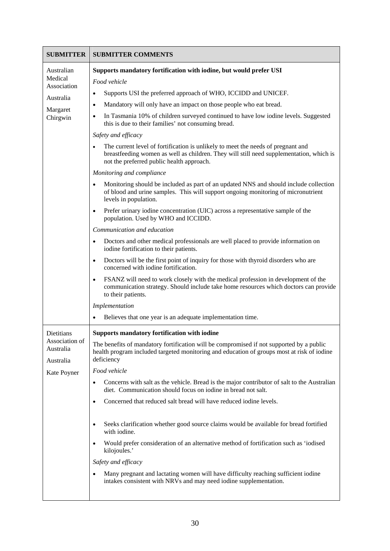| <b>SUBMITTER</b>                                                          | <b>SUBMITTER COMMENTS</b>                                                                                                                                                                                                                                                                                                                                                                                                                                                                                                                                                                                                                                                                                                                                                                                                                                                                                                                                                                                                                                                                                                                                                                                                                                                                                                                                                                                                                                                                                                                  |
|---------------------------------------------------------------------------|--------------------------------------------------------------------------------------------------------------------------------------------------------------------------------------------------------------------------------------------------------------------------------------------------------------------------------------------------------------------------------------------------------------------------------------------------------------------------------------------------------------------------------------------------------------------------------------------------------------------------------------------------------------------------------------------------------------------------------------------------------------------------------------------------------------------------------------------------------------------------------------------------------------------------------------------------------------------------------------------------------------------------------------------------------------------------------------------------------------------------------------------------------------------------------------------------------------------------------------------------------------------------------------------------------------------------------------------------------------------------------------------------------------------------------------------------------------------------------------------------------------------------------------------|
| Australian<br>Medical<br>Association<br>Australia<br>Margaret<br>Chirgwin | Supports mandatory fortification with iodine, but would prefer USI<br>Food vehicle<br>Supports USI the preferred approach of WHO, ICCIDD and UNICEF.<br>Mandatory will only have an impact on those people who eat bread.<br>$\bullet$<br>In Tasmania 10% of children surveyed continued to have low iodine levels. Suggested<br>٠<br>this is due to their families' not consuming bread.<br>Safety and efficacy<br>The current level of fortification is unlikely to meet the needs of pregnant and<br>breastfeeding women as well as children. They will still need supplementation, which is<br>not the preferred public health approach.<br>Monitoring and compliance<br>Monitoring should be included as part of an updated NNS and should include collection<br>of blood and urine samples. This will support ongoing monitoring of micronutrient<br>levels in population.<br>Prefer urinary iodine concentration (UIC) across a representative sample of the<br>population. Used by WHO and ICCIDD.<br>Communication and education<br>Doctors and other medical professionals are well placed to provide information on<br>iodine fortification to their patients.<br>Doctors will be the first point of inquiry for those with thyroid disorders who are<br>$\bullet$<br>concerned with iodine fortification.<br>FSANZ will need to work closely with the medical profession in development of the<br>communication strategy. Should include take home resources which doctors can provide<br>to their patients.<br>Implementation |
| Dietitians<br>Association of<br>Australia<br>Australia<br>Kate Poyner     | Believes that one year is an adequate implementation time.<br>Supports mandatory fortification with iodine<br>The benefits of mandatory fortification will be compromised if not supported by a public<br>health program included targeted monitoring and education of groups most at risk of iodine<br>deficiency<br>Food vehicle<br>Concerns with salt as the vehicle. Bread is the major contributor of salt to the Australian<br>$\bullet$<br>diet. Communication should focus on iodine in bread not salt.<br>Concerned that reduced salt bread will have reduced iodine levels.<br>$\bullet$<br>Seeks clarification whether good source claims would be available for bread fortified<br>with iodine.<br>Would prefer consideration of an alternative method of fortification such as 'iodised<br>kilojoules.'<br>Safety and efficacy<br>Many pregnant and lactating women will have difficulty reaching sufficient iodine<br>intakes consistent with NRVs and may need iodine supplementation.                                                                                                                                                                                                                                                                                                                                                                                                                                                                                                                                      |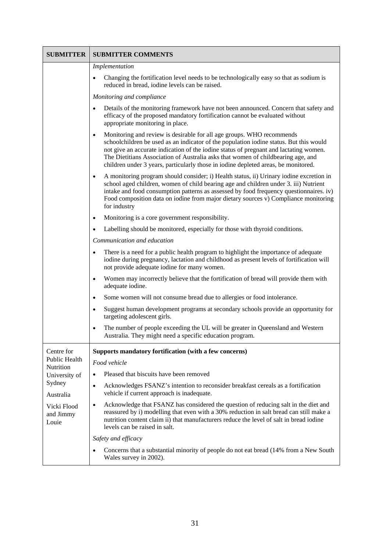| <b>SUBMITTER</b>                                                                                        | <b>SUBMITTER COMMENTS</b>                                                                                                                                                                                                                                                                                                                                                                                                          |
|---------------------------------------------------------------------------------------------------------|------------------------------------------------------------------------------------------------------------------------------------------------------------------------------------------------------------------------------------------------------------------------------------------------------------------------------------------------------------------------------------------------------------------------------------|
|                                                                                                         | Implementation                                                                                                                                                                                                                                                                                                                                                                                                                     |
|                                                                                                         | Changing the fortification level needs to be technologically easy so that as sodium is<br>reduced in bread, iodine levels can be raised.                                                                                                                                                                                                                                                                                           |
|                                                                                                         | Monitoring and compliance                                                                                                                                                                                                                                                                                                                                                                                                          |
|                                                                                                         | Details of the monitoring framework have not been announced. Concern that safety and<br>efficacy of the proposed mandatory fortification cannot be evaluated without<br>appropriate monitoring in place.                                                                                                                                                                                                                           |
|                                                                                                         | Monitoring and review is desirable for all age groups. WHO recommends<br>schoolchildren be used as an indicator of the population iodine status. But this would<br>not give an accurate indication of the iodine status of pregnant and lactating women.<br>The Dietitians Association of Australia asks that women of childbearing age, and<br>children under 3 years, particularly those in iodine depleted areas, be monitored. |
|                                                                                                         | A monitoring program should consider; i) Health status, ii) Urinary iodine excretion in<br>$\bullet$<br>school aged children, women of child bearing age and children under 3. iii) Nutrient<br>intake and food consumption patterns as assessed by food frequency questionnaires. iv)<br>Food composition data on iodine from major dietary sources v) Compliance monitoring<br>for industry                                      |
|                                                                                                         | Monitoring is a core government responsibility.                                                                                                                                                                                                                                                                                                                                                                                    |
|                                                                                                         | Labelling should be monitored, especially for those with thyroid conditions.                                                                                                                                                                                                                                                                                                                                                       |
|                                                                                                         | Communication and education                                                                                                                                                                                                                                                                                                                                                                                                        |
|                                                                                                         | There is a need for a public health program to highlight the importance of adequate<br>iodine during pregnancy, lactation and childhood as present levels of fortification will<br>not provide adequate iodine for many women.                                                                                                                                                                                                     |
|                                                                                                         | Women may incorrectly believe that the fortification of bread will provide them with<br>$\bullet$<br>adequate iodine.                                                                                                                                                                                                                                                                                                              |
|                                                                                                         | Some women will not consume bread due to allergies or food intolerance.<br>$\bullet$                                                                                                                                                                                                                                                                                                                                               |
|                                                                                                         | Suggest human development programs at secondary schools provide an opportunity for<br>$\bullet$<br>targeting adolescent girls.                                                                                                                                                                                                                                                                                                     |
|                                                                                                         | The number of people exceeding the UL will be greater in Queensland and Western<br>$\bullet$<br>Australia. They might need a specific education program.                                                                                                                                                                                                                                                                           |
| Centre for                                                                                              | Supports mandatory fortification (with a few concerns)                                                                                                                                                                                                                                                                                                                                                                             |
| Public Health<br>Nutrition<br>University of<br>Sydney<br>Australia<br>Vicki Flood<br>and Jimmy<br>Louie | Food vehicle                                                                                                                                                                                                                                                                                                                                                                                                                       |
|                                                                                                         | Pleased that biscuits have been removed                                                                                                                                                                                                                                                                                                                                                                                            |
|                                                                                                         | Acknowledges FSANZ's intention to reconsider breakfast cereals as a fortification<br>$\bullet$<br>vehicle if current approach is inadequate.                                                                                                                                                                                                                                                                                       |
|                                                                                                         | Acknowledge that FSANZ has considered the question of reducing salt in the diet and<br>$\bullet$<br>reassured by i) modelling that even with a 30% reduction in salt bread can still make a<br>nutrition content claim ii) that manufacturers reduce the level of salt in bread iodine<br>levels can be raised in salt.                                                                                                            |
|                                                                                                         | Safety and efficacy                                                                                                                                                                                                                                                                                                                                                                                                                |
|                                                                                                         | Concerns that a substantial minority of people do not eat bread (14% from a New South<br>Wales survey in 2002).                                                                                                                                                                                                                                                                                                                    |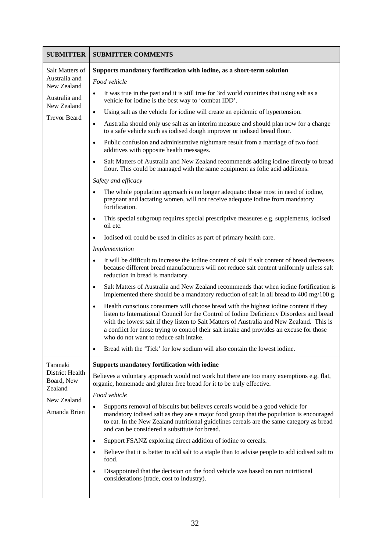| <b>SUBMITTER</b>                                                                                       | <b>SUBMITTER COMMENTS</b>                                                                                                                                                                                                                                                                                                                                                                                                                                                                                                                                                                                                                                                                                                                                                                                                                                                                                                                                                                                                                                                                                                                                                                                                                                                                                       |
|--------------------------------------------------------------------------------------------------------|-----------------------------------------------------------------------------------------------------------------------------------------------------------------------------------------------------------------------------------------------------------------------------------------------------------------------------------------------------------------------------------------------------------------------------------------------------------------------------------------------------------------------------------------------------------------------------------------------------------------------------------------------------------------------------------------------------------------------------------------------------------------------------------------------------------------------------------------------------------------------------------------------------------------------------------------------------------------------------------------------------------------------------------------------------------------------------------------------------------------------------------------------------------------------------------------------------------------------------------------------------------------------------------------------------------------|
| Salt Matters of<br>Australia and<br>New Zealand<br>Australia and<br>New Zealand<br><b>Trevor Beard</b> | Supports mandatory fortification with iodine, as a short-term solution<br>Food vehicle<br>It was true in the past and it is still true for 3rd world countries that using salt as a<br>$\bullet$<br>vehicle for iodine is the best way to 'combat IDD'.<br>Using salt as the vehicle for iodine will create an epidemic of hypertension.<br>$\bullet$<br>Australia should only use salt as an interim measure and should plan now for a change<br>$\bullet$<br>to a safe vehicle such as iodised dough improver or iodised bread flour.<br>Public confusion and administrative nightmare result from a marriage of two food<br>$\bullet$<br>additives with opposite health messages.<br>Salt Matters of Australia and New Zealand recommends adding iodine directly to bread<br>$\bullet$<br>flour. This could be managed with the same equipment as folic acid additions.                                                                                                                                                                                                                                                                                                                                                                                                                                      |
|                                                                                                        | Safety and efficacy<br>The whole population approach is no longer adequate: those most in need of iodine,<br>pregnant and lactating women, will not receive adequate iodine from mandatory<br>fortification.<br>This special subgroup requires special prescriptive measures e.g. supplements, iodised<br>oil etc.<br>Iodised oil could be used in clinics as part of primary health care.<br>$\bullet$<br>Implementation<br>It will be difficult to increase the iodine content of salt if salt content of bread decreases<br>$\bullet$<br>because different bread manufacturers will not reduce salt content uniformly unless salt<br>reduction in bread is mandatory.<br>Salt Matters of Australia and New Zealand recommends that when iodine fortification is<br>$\bullet$<br>implemented there should be a mandatory reduction of salt in all bread to 400 mg/100 g.<br>Health conscious consumers will choose bread with the highest iodine content if they<br>$\bullet$<br>listen to International Council for the Control of Iodine Deficiency Disorders and bread<br>with the lowest salt if they listen to Salt Matters of Australia and New Zealand. This is<br>a conflict for those trying to control their salt intake and provides an excuse for those<br>who do not want to reduce salt intake. |
| Taranaki<br><b>District Health</b><br>Board, New<br>Zealand<br>New Zealand<br>Amanda Brien             | Bread with the 'Tick' for low sodium will also contain the lowest iodine.<br><b>Supports mandatory fortification with iodine</b><br>Believes a voluntary approach would not work but there are too many exemptions e.g. flat,<br>organic, homemade and gluten free bread for it to be truly effective.<br>Food vehicle<br>Supports removal of biscuits but believes cereals would be a good vehicle for<br>$\bullet$<br>mandatory iodised salt as they are a major food group that the population is encouraged<br>to eat. In the New Zealand nutritional guidelines cereals are the same category as bread<br>and can be considered a substitute for bread.<br>Support FSANZ exploring direct addition of iodine to cereals.<br>$\bullet$<br>Believe that it is better to add salt to a staple than to advise people to add iodised salt to<br>$\bullet$<br>food.<br>Disappointed that the decision on the food vehicle was based on non nutritional<br>considerations (trade, cost to industry).                                                                                                                                                                                                                                                                                                              |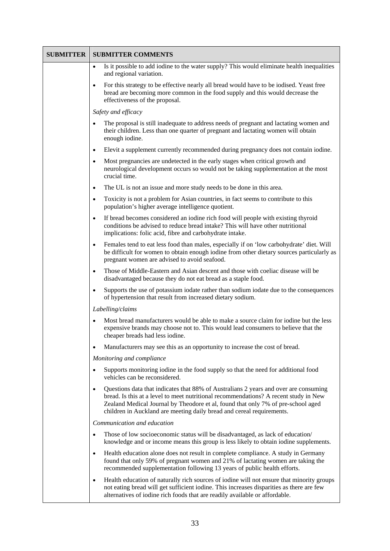| <b>SUBMITTER</b> | <b>SUBMITTER COMMENTS</b>                                                                                                                                                                                                                                                                                                                              |
|------------------|--------------------------------------------------------------------------------------------------------------------------------------------------------------------------------------------------------------------------------------------------------------------------------------------------------------------------------------------------------|
|                  | Is it possible to add iodine to the water supply? This would eliminate health inequalities<br>$\bullet$<br>and regional variation.                                                                                                                                                                                                                     |
|                  | For this strategy to be effective nearly all bread would have to be iodised. Yeast free<br>$\bullet$<br>bread are becoming more common in the food supply and this would decrease the<br>effectiveness of the proposal.                                                                                                                                |
|                  | Safety and efficacy                                                                                                                                                                                                                                                                                                                                    |
|                  | The proposal is still inadequate to address needs of pregnant and lactating women and<br>$\bullet$<br>their children. Less than one quarter of pregnant and lactating women will obtain<br>enough iodine.                                                                                                                                              |
|                  | Elevit a supplement currently recommended during pregnancy does not contain iodine.<br>$\bullet$                                                                                                                                                                                                                                                       |
|                  | Most pregnancies are undetected in the early stages when critical growth and<br>$\bullet$<br>neurological development occurs so would not be taking supplementation at the most<br>crucial time.                                                                                                                                                       |
|                  | The UL is not an issue and more study needs to be done in this area.<br>$\bullet$                                                                                                                                                                                                                                                                      |
|                  | Toxicity is not a problem for Asian countries, in fact seems to contribute to this<br>$\bullet$<br>population's higher average intelligence quotient.                                                                                                                                                                                                  |
|                  | If bread becomes considered an iodine rich food will people with existing thyroid<br>$\bullet$<br>conditions be advised to reduce bread intake? This will have other nutritional<br>implications: folic acid, fibre and carbohydrate intake.                                                                                                           |
|                  | Females tend to eat less food than males, especially if on 'low carbohydrate' diet. Will<br>$\bullet$<br>be difficult for women to obtain enough iodine from other dietary sources particularly as<br>pregnant women are advised to avoid seafood.                                                                                                     |
|                  | Those of Middle-Eastern and Asian descent and those with coeliac disease will be<br>$\bullet$<br>disadvantaged because they do not eat bread as a staple food.                                                                                                                                                                                         |
|                  | Supports the use of potassium iodate rather than sodium iodate due to the consequences<br>$\bullet$<br>of hypertension that result from increased dietary sodium.                                                                                                                                                                                      |
|                  | Labelling/claims                                                                                                                                                                                                                                                                                                                                       |
|                  | Most bread manufacturers would be able to make a source claim for iodine but the less<br>$\bullet$<br>expensive brands may choose not to. This would lead consumers to believe that the<br>cheaper breads had less iodine.                                                                                                                             |
|                  | Manufacturers may see this as an opportunity to increase the cost of bread.<br>$\bullet$                                                                                                                                                                                                                                                               |
|                  | Monitoring and compliance                                                                                                                                                                                                                                                                                                                              |
|                  | Supports monitoring iodine in the food supply so that the need for additional food<br>$\bullet$<br>vehicles can be reconsidered.                                                                                                                                                                                                                       |
|                  | Questions data that indicates that 88% of Australians 2 years and over are consuming<br>$\bullet$<br>bread. Is this at a level to meet nutritional recommendations? A recent study in New<br>Zealand Medical Journal by Theodore et al, found that only 7% of pre-school aged<br>children in Auckland are meeting daily bread and cereal requirements. |
|                  | Communication and education                                                                                                                                                                                                                                                                                                                            |
|                  | Those of low socioeconomic status will be disadvantaged, as lack of education/<br>$\bullet$<br>knowledge and or income means this group is less likely to obtain iodine supplements.                                                                                                                                                                   |
|                  | Health education alone does not result in complete compliance. A study in Germany<br>$\bullet$<br>found that only 59% of pregnant women and 21% of lactating women are taking the<br>recommended supplementation following 13 years of public health efforts.                                                                                          |
|                  | Health education of naturally rich sources of iodine will not ensure that minority groups<br>$\bullet$<br>not eating bread will get sufficient iodine. This increases disparities as there are few<br>alternatives of iodine rich foods that are readily available or affordable.                                                                      |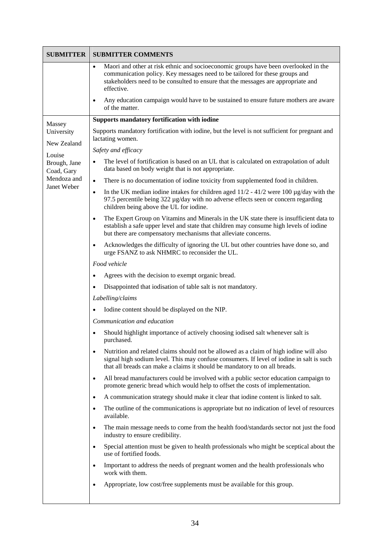| <b>SUBMITTER</b>           | <b>SUBMITTER COMMENTS</b>                                                                                                                                                                                                                                                          |
|----------------------------|------------------------------------------------------------------------------------------------------------------------------------------------------------------------------------------------------------------------------------------------------------------------------------|
|                            | Maori and other at risk ethnic and socioeconomic groups have been overlooked in the<br>$\bullet$<br>communication policy. Key messages need to be tailored for these groups and<br>stakeholders need to be consulted to ensure that the messages are appropriate and<br>effective. |
|                            | Any education campaign would have to be sustained to ensure future mothers are aware<br>$\bullet$<br>of the matter.                                                                                                                                                                |
| Massey                     | Supports mandatory fortification with iodine                                                                                                                                                                                                                                       |
| University<br>New Zealand  | Supports mandatory fortification with iodine, but the level is not sufficient for pregnant and<br>lactating women.                                                                                                                                                                 |
| Louise                     | Safety and efficacy                                                                                                                                                                                                                                                                |
| Brough, Jane<br>Coad, Gary | The level of fortification is based on an UL that is calculated on extrapolation of adult<br>data based on body weight that is not appropriate.                                                                                                                                    |
| Mendoza and<br>Janet Weber | There is no documentation of iodine toxicity from supplemented food in children.<br>$\bullet$                                                                                                                                                                                      |
|                            | In the UK median iodine intakes for children aged $11/2 - 41/2$ were 100 µg/day with the<br>$\bullet$<br>97.5 percentile being 322 µg/day with no adverse effects seen or concern regarding<br>children being above the UL for iodine.                                             |
|                            | The Expert Group on Vitamins and Minerals in the UK state there is insufficient data to<br>$\bullet$<br>establish a safe upper level and state that children may consume high levels of iodine<br>but there are compensatory mechanisms that alleviate concerns.                   |
|                            | Acknowledges the difficulty of ignoring the UL but other countries have done so, and<br>$\bullet$<br>urge FSANZ to ask NHMRC to reconsider the UL.                                                                                                                                 |
|                            | Food vehicle                                                                                                                                                                                                                                                                       |
|                            | Agrees with the decision to exempt organic bread.                                                                                                                                                                                                                                  |
|                            | Disappointed that iodisation of table salt is not mandatory.                                                                                                                                                                                                                       |
|                            | Labelling/claims                                                                                                                                                                                                                                                                   |
|                            | Iodine content should be displayed on the NIP.                                                                                                                                                                                                                                     |
|                            | Communication and education                                                                                                                                                                                                                                                        |
|                            | Should highlight importance of actively choosing iodised salt whenever salt is<br>purchased.                                                                                                                                                                                       |
|                            | Nutrition and related claims should not be allowed as a claim of high iodine will also<br>$\bullet$<br>signal high sodium level. This may confuse consumers. If level of iodine in salt is such<br>that all breads can make a claims it should be mandatory to on all breads.      |
|                            | All bread manufacturers could be involved with a public sector education campaign to<br>$\bullet$<br>promote generic bread which would help to offset the costs of implementation.                                                                                                 |
|                            | A communication strategy should make it clear that iodine content is linked to salt.<br>$\bullet$                                                                                                                                                                                  |
|                            | The outline of the communications is appropriate but no indication of level of resources<br>$\bullet$<br>available.                                                                                                                                                                |
|                            | The main message needs to come from the health food/standards sector not just the food<br>$\bullet$<br>industry to ensure credibility.                                                                                                                                             |
|                            | Special attention must be given to health professionals who might be sceptical about the<br>$\bullet$<br>use of fortified foods.                                                                                                                                                   |
|                            | Important to address the needs of pregnant women and the health professionals who<br>$\bullet$<br>work with them.                                                                                                                                                                  |
|                            | Appropriate, low cost/free supplements must be available for this group.<br>$\bullet$                                                                                                                                                                                              |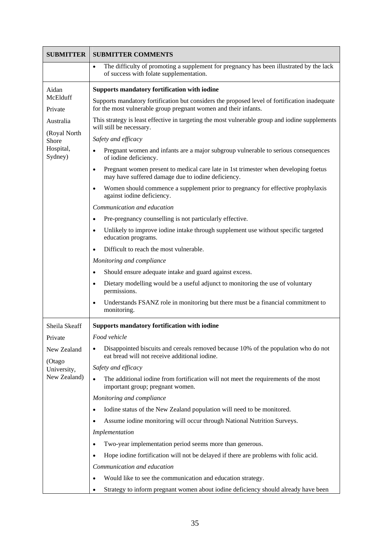| <b>SUBMITTER</b>                                     | <b>SUBMITTER COMMENTS</b>                                                                                                                                        |
|------------------------------------------------------|------------------------------------------------------------------------------------------------------------------------------------------------------------------|
|                                                      | The difficulty of promoting a supplement for pregnancy has been illustrated by the lack<br>$\bullet$<br>of success with folate supplementation.                  |
| Aidan<br>McElduff<br>Private                         | <b>Supports mandatory fortification with iodine</b>                                                                                                              |
|                                                      | Supports mandatory fortification but considers the proposed level of fortification inadequate<br>for the most vulnerable group pregnant women and their infants. |
| Australia                                            | This strategy is least effective in targeting the most vulnerable group and iodine supplements<br>will still be necessary.                                       |
| (Royal North<br>Shore                                | Safety and efficacy                                                                                                                                              |
| Hospital,<br>Sydney)                                 | Pregnant women and infants are a major subgroup vulnerable to serious consequences<br>of iodine deficiency.                                                      |
|                                                      | Pregnant women present to medical care late in 1st trimester when developing foetus<br>$\bullet$<br>may have suffered damage due to iodine deficiency.           |
|                                                      | Women should commence a supplement prior to pregnancy for effective prophylaxis<br>$\bullet$<br>against iodine deficiency.                                       |
|                                                      | Communication and education                                                                                                                                      |
|                                                      | Pre-pregnancy counselling is not particularly effective.<br>$\bullet$                                                                                            |
|                                                      | Unlikely to improve iodine intake through supplement use without specific targeted<br>$\bullet$<br>education programs.                                           |
|                                                      | Difficult to reach the most vulnerable.                                                                                                                          |
|                                                      | Monitoring and compliance                                                                                                                                        |
|                                                      | Should ensure adequate intake and guard against excess.                                                                                                          |
|                                                      | Dietary modelling would be a useful adjunct to monitoring the use of voluntary<br>permissions.                                                                   |
|                                                      | Understands FSANZ role in monitoring but there must be a financial commitment to<br>$\bullet$<br>monitoring.                                                     |
| Sheila Skeaff                                        | <b>Supports mandatory fortification with iodine</b>                                                                                                              |
| Private                                              | Food vehicle                                                                                                                                                     |
| New Zealand<br>(Otago<br>University,<br>New Zealand) | Disappointed biscuits and cereals removed because 10% of the population who do not<br>$\bullet$<br>eat bread will not receive additional iodine.                 |
|                                                      | Safety and efficacy                                                                                                                                              |
|                                                      | The additional iodine from fortification will not meet the requirements of the most<br>important group; pregnant women.                                          |
|                                                      | Monitoring and compliance                                                                                                                                        |
|                                                      | Iodine status of the New Zealand population will need to be monitored.<br>$\bullet$                                                                              |
|                                                      | Assume iodine monitoring will occur through National Nutrition Surveys.                                                                                          |
|                                                      | Implementation                                                                                                                                                   |
|                                                      | Two-year implementation period seems more than generous.<br>$\bullet$                                                                                            |
|                                                      | Hope iodine fortification will not be delayed if there are problems with folic acid.<br>$\bullet$                                                                |
|                                                      | Communication and education                                                                                                                                      |
|                                                      | Would like to see the communication and education strategy.<br>$\bullet$                                                                                         |
|                                                      | Strategy to inform pregnant women about iodine deficiency should already have been<br>$\bullet$                                                                  |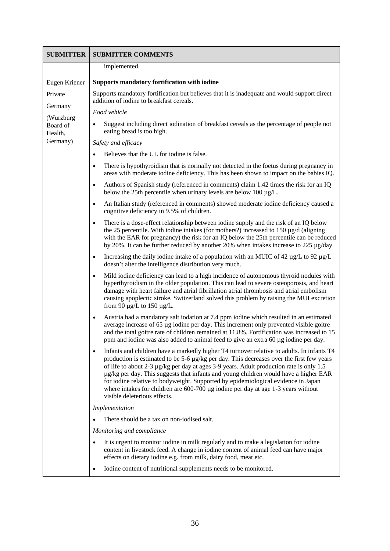| <b>SUBMITTER</b>                 | <b>SUBMITTER COMMENTS</b>                                                                                                                                                                                                                                                                                                                                                                                                                                                                                                                                                                            |
|----------------------------------|------------------------------------------------------------------------------------------------------------------------------------------------------------------------------------------------------------------------------------------------------------------------------------------------------------------------------------------------------------------------------------------------------------------------------------------------------------------------------------------------------------------------------------------------------------------------------------------------------|
|                                  | implemented.                                                                                                                                                                                                                                                                                                                                                                                                                                                                                                                                                                                         |
| Eugen Kriener                    | <b>Supports mandatory fortification with iodine</b>                                                                                                                                                                                                                                                                                                                                                                                                                                                                                                                                                  |
| Private                          | Supports mandatory fortification but believes that it is inadequate and would support direct<br>addition of iodine to breakfast cereals.                                                                                                                                                                                                                                                                                                                                                                                                                                                             |
| Germany                          | Food vehicle                                                                                                                                                                                                                                                                                                                                                                                                                                                                                                                                                                                         |
| (Wurzburg<br>Board of<br>Health, | Suggest including direct iodination of breakfast cereals as the percentage of people not<br>eating bread is too high.                                                                                                                                                                                                                                                                                                                                                                                                                                                                                |
| Germany)                         | Safety and efficacy                                                                                                                                                                                                                                                                                                                                                                                                                                                                                                                                                                                  |
|                                  | Believes that the UL for iodine is false.                                                                                                                                                                                                                                                                                                                                                                                                                                                                                                                                                            |
|                                  | There is hypothyroidism that is normally not detected in the foetus during pregnancy in<br>$\bullet$<br>areas with moderate iodine deficiency. This has been shown to impact on the babies IQ.                                                                                                                                                                                                                                                                                                                                                                                                       |
|                                  | Authors of Spanish study (referenced in comments) claim 1.42 times the risk for an IQ<br>$\bullet$<br>below the 25th percentile when urinary levels are below 100 $\mu$ g/L.                                                                                                                                                                                                                                                                                                                                                                                                                         |
|                                  | An Italian study (referenced in comments) showed moderate iodine deficiency caused a<br>$\bullet$<br>cognitive deficiency in 9.5% of children.                                                                                                                                                                                                                                                                                                                                                                                                                                                       |
|                                  | There is a dose-effect relationship between iodine supply and the risk of an IQ below<br>$\bullet$<br>the 25 percentile. With iodine intakes (for mothers?) increased to $150 \mu g/d$ (aligning<br>with the EAR for pregnancy) the risk for an IQ below the 25th percentile can be reduced<br>by 20%. It can be further reduced by another 20% when intakes increase to 225 $\mu$ g/day.                                                                                                                                                                                                            |
|                                  | Increasing the daily iodine intake of a population with an MUIC of 42 $\mu$ g/L to 92 $\mu$ g/L<br>$\bullet$<br>doesn't alter the intelligence distribution very much.                                                                                                                                                                                                                                                                                                                                                                                                                               |
|                                  | Mild iodine deficiency can lead to a high incidence of autonomous thyroid nodules with<br>hyperthyroidism in the older population. This can lead to severe osteoporosis, and heart<br>damage with heart failure and atrial fibrillation atrial thrombosis and atrial embolism<br>causing apoplectic stroke. Switzerland solved this problem by raising the MUI excretion<br>from 90 $\mu$ g/L to 150 $\mu$ g/L.                                                                                                                                                                                      |
|                                  | Austria had a mandatory salt iodation at 7.4 ppm iodine which resulted in an estimated<br>$\bullet$<br>average increase of 65 µg iodine per day. This increment only prevented visible goitre<br>and the total goitre rate of children remained at 11.8%. Fortification was increased to 15<br>ppm and iodine was also added to animal feed to give an extra 60 µg iodine per day.                                                                                                                                                                                                                   |
|                                  | Infants and children have a markedly higher T4 turnover relative to adults. In infants T4<br>$\bullet$<br>production is estimated to be 5-6 µg/kg per day. This decreases over the first few years<br>of life to about 2-3 µg/kg per day at ages 3-9 years. Adult production rate is only 1.5<br>µg/kg per day. This suggests that infants and young children would have a higher EAR<br>for iodine relative to bodyweight. Supported by epidemiological evidence in Japan<br>where intakes for children are $600-700 \mu g$ iodine per day at age 1-3 years without<br>visible deleterious effects. |
|                                  | Implementation                                                                                                                                                                                                                                                                                                                                                                                                                                                                                                                                                                                       |
|                                  | There should be a tax on non-iodised salt.                                                                                                                                                                                                                                                                                                                                                                                                                                                                                                                                                           |
|                                  | Monitoring and compliance                                                                                                                                                                                                                                                                                                                                                                                                                                                                                                                                                                            |
|                                  | It is urgent to monitor iodine in milk regularly and to make a legislation for iodine<br>content in livestock feed. A change in iodine content of animal feed can have major<br>effects on dietary iodine e.g. from milk, dairy food, meat etc.                                                                                                                                                                                                                                                                                                                                                      |
|                                  | Iodine content of nutritional supplements needs to be monitored.<br>٠                                                                                                                                                                                                                                                                                                                                                                                                                                                                                                                                |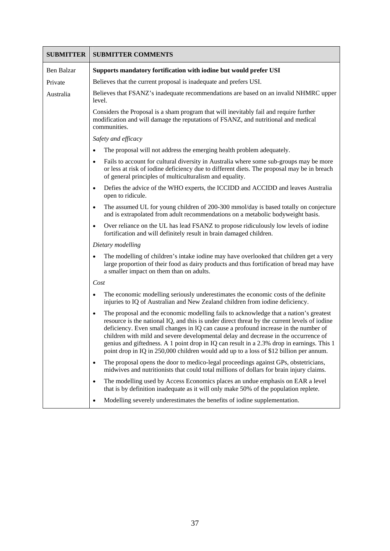| <b>SUBMITTER</b> | <b>SUBMITTER COMMENTS</b>                                                                                                                                                                                                                                                                                                                                                                                                                                                                                                                                  |
|------------------|------------------------------------------------------------------------------------------------------------------------------------------------------------------------------------------------------------------------------------------------------------------------------------------------------------------------------------------------------------------------------------------------------------------------------------------------------------------------------------------------------------------------------------------------------------|
| Ben Balzar       | Supports mandatory fortification with iodine but would prefer USI                                                                                                                                                                                                                                                                                                                                                                                                                                                                                          |
| Private          | Believes that the current proposal is inadequate and prefers USI.                                                                                                                                                                                                                                                                                                                                                                                                                                                                                          |
| Australia        | Believes that FSANZ's inadequate recommendations are based on an invalid NHMRC upper<br>level.                                                                                                                                                                                                                                                                                                                                                                                                                                                             |
|                  | Considers the Proposal is a sham program that will inevitably fail and require further<br>modification and will damage the reputations of FSANZ, and nutritional and medical<br>communities.                                                                                                                                                                                                                                                                                                                                                               |
|                  | Safety and efficacy                                                                                                                                                                                                                                                                                                                                                                                                                                                                                                                                        |
|                  | The proposal will not address the emerging health problem adequately.                                                                                                                                                                                                                                                                                                                                                                                                                                                                                      |
|                  | Fails to account for cultural diversity in Australia where some sub-groups may be more<br>or less at risk of iodine deficiency due to different diets. The proposal may be in breach<br>of general principles of multiculturalism and equality.                                                                                                                                                                                                                                                                                                            |
|                  | Defies the advice of the WHO experts, the ICCIDD and ACCIDD and leaves Australia<br>open to ridicule.                                                                                                                                                                                                                                                                                                                                                                                                                                                      |
|                  | The assumed UL for young children of 200-300 mmol/day is based totally on conjecture<br>and is extrapolated from adult recommendations on a metabolic bodyweight basis.                                                                                                                                                                                                                                                                                                                                                                                    |
|                  | Over reliance on the UL has lead FSANZ to propose ridiculously low levels of iodine<br>$\bullet$<br>fortification and will definitely result in brain damaged children.                                                                                                                                                                                                                                                                                                                                                                                    |
|                  | Dietary modelling                                                                                                                                                                                                                                                                                                                                                                                                                                                                                                                                          |
|                  | The modelling of children's intake iodine may have overlooked that children get a very<br>large proportion of their food as dairy products and thus fortification of bread may have<br>a smaller impact on them than on adults.                                                                                                                                                                                                                                                                                                                            |
|                  | Cost                                                                                                                                                                                                                                                                                                                                                                                                                                                                                                                                                       |
|                  | The economic modelling seriously underestimates the economic costs of the definite<br>injuries to IQ of Australian and New Zealand children from iodine deficiency.                                                                                                                                                                                                                                                                                                                                                                                        |
|                  | The proposal and the economic modelling fails to acknowledge that a nation's greatest<br>resource is the national IQ, and this is under direct threat by the current levels of iodine<br>deficiency. Even small changes in IQ can cause a profound increase in the number of<br>children with mild and severe developmental delay and decrease in the occurrence of<br>genius and giftedness. A 1 point drop in IQ can result in a 2.3% drop in earnings. This 1<br>point drop in IQ in 250,000 children would add up to a loss of \$12 billion per annum. |
|                  | The proposal opens the door to medico-legal proceedings against GPs, obstetricians,<br>$\bullet$<br>midwives and nutritionists that could total millions of dollars for brain injury claims.                                                                                                                                                                                                                                                                                                                                                               |
|                  | The modelling used by Access Economics places an undue emphasis on EAR a level<br>٠<br>that is by definition inadequate as it will only make 50% of the population replete.                                                                                                                                                                                                                                                                                                                                                                                |
|                  | Modelling severely underestimates the benefits of iodine supplementation.<br>٠                                                                                                                                                                                                                                                                                                                                                                                                                                                                             |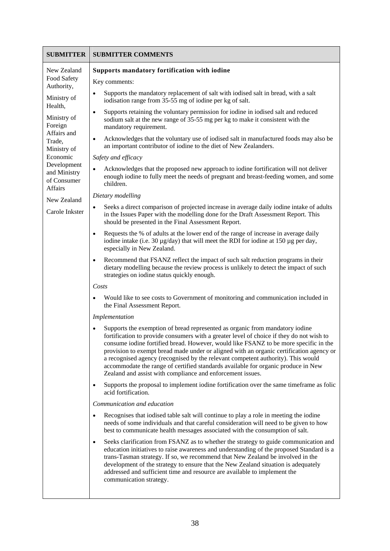| <b>SUBMITTER</b>                                                                                                                                                                                                                           | <b>SUBMITTER COMMENTS</b>                                                                                                                                                                                                                                                                                                                                                                                                                                                                                                                                                                                                                                                                                                                                                                                                                                                                                                                                                                                                                                                                                                                                                                                                                                                                                                                                                                                                                                                                                                                                                                                                                                                                                                                                                                                                                                                                                                                                                                                                                                                                                                                                                                                                                                                                                                                                                                                                                                                                                                                                                                                                                                                                                                                                                                                                                                                                                                                                                                                                                                                                                                                                                                                                                                                                    |
|--------------------------------------------------------------------------------------------------------------------------------------------------------------------------------------------------------------------------------------------|----------------------------------------------------------------------------------------------------------------------------------------------------------------------------------------------------------------------------------------------------------------------------------------------------------------------------------------------------------------------------------------------------------------------------------------------------------------------------------------------------------------------------------------------------------------------------------------------------------------------------------------------------------------------------------------------------------------------------------------------------------------------------------------------------------------------------------------------------------------------------------------------------------------------------------------------------------------------------------------------------------------------------------------------------------------------------------------------------------------------------------------------------------------------------------------------------------------------------------------------------------------------------------------------------------------------------------------------------------------------------------------------------------------------------------------------------------------------------------------------------------------------------------------------------------------------------------------------------------------------------------------------------------------------------------------------------------------------------------------------------------------------------------------------------------------------------------------------------------------------------------------------------------------------------------------------------------------------------------------------------------------------------------------------------------------------------------------------------------------------------------------------------------------------------------------------------------------------------------------------------------------------------------------------------------------------------------------------------------------------------------------------------------------------------------------------------------------------------------------------------------------------------------------------------------------------------------------------------------------------------------------------------------------------------------------------------------------------------------------------------------------------------------------------------------------------------------------------------------------------------------------------------------------------------------------------------------------------------------------------------------------------------------------------------------------------------------------------------------------------------------------------------------------------------------------------------------------------------------------------------------------------------------------------|
| New Zealand<br>Food Safety<br>Authority,<br>Ministry of<br>Health,<br>Ministry of<br>Foreign<br>Affairs and<br>Trade,<br>Ministry of<br>Economic<br>Development<br>and Ministry<br>of Consumer<br>Affairs<br>New Zealand<br>Carole Inkster | Supports mandatory fortification with iodine<br>Key comments:<br>Supports the mandatory replacement of salt with iodised salt in bread, with a salt<br>$\bullet$<br>iodisation range from 35-55 mg of iodine per kg of salt.<br>Supports retaining the voluntary permission for iodine in iodised salt and reduced<br>$\bullet$<br>sodium salt at the new range of 35-55 mg per kg to make it consistent with the<br>mandatory requirement.<br>Acknowledges that the voluntary use of iodised salt in manufactured foods may also be<br>٠<br>an important contributor of iodine to the diet of New Zealanders.<br>Safety and efficacy<br>Acknowledges that the proposed new approach to iodine fortification will not deliver<br>$\bullet$<br>enough iodine to fully meet the needs of pregnant and breast-feeding women, and some<br>children.<br>Dietary modelling<br>Seeks a direct comparison of projected increase in average daily iodine intake of adults<br>$\bullet$<br>in the Issues Paper with the modelling done for the Draft Assessment Report. This<br>should be presented in the Final Assessment Report.<br>Requests the % of adults at the lower end of the range of increase in average daily<br>$\bullet$<br>iodine intake (i.e. 30 $\mu$ g/day) that will meet the RDI for iodine at 150 $\mu$ g per day,<br>especially in New Zealand.<br>Recommend that FSANZ reflect the impact of such salt reduction programs in their<br>$\bullet$<br>dietary modelling because the review process is unlikely to detect the impact of such<br>strategies on iodine status quickly enough.<br>Costs<br>Would like to see costs to Government of monitoring and communication included in<br>٠<br>the Final Assessment Report.<br>Implementation<br>Supports the exemption of bread represented as organic from mandatory iodine<br>$\bullet$<br>fortification to provide consumers with a greater level of choice if they do not wish to<br>consume iodine fortified bread. However, would like FSANZ to be more specific in the<br>provision to exempt bread made under or aligned with an organic certification agency or<br>a recognised agency (recognised by the relevant competent authority). This would<br>accommodate the range of certified standards available for organic produce in New<br>Zealand and assist with compliance and enforcement issues.<br>Supports the proposal to implement iodine fortification over the same timeframe as folic<br>$\bullet$<br>acid fortification.<br>Communication and education<br>Recognises that iodised table salt will continue to play a role in meeting the iodine<br>٠<br>needs of some individuals and that careful consideration will need to be given to how<br>best to communicate health messages associated with the consumption of salt.<br>Seeks clarification from FSANZ as to whether the strategy to guide communication and<br>٠<br>education initiatives to raise awareness and understanding of the proposed Standard is a<br>trans-Tasman strategy. If so, we recommend that New Zealand be involved in the<br>development of the strategy to ensure that the New Zealand situation is adequately<br>addressed and sufficient time and resource are available to implement the<br>communication strategy. |
|                                                                                                                                                                                                                                            |                                                                                                                                                                                                                                                                                                                                                                                                                                                                                                                                                                                                                                                                                                                                                                                                                                                                                                                                                                                                                                                                                                                                                                                                                                                                                                                                                                                                                                                                                                                                                                                                                                                                                                                                                                                                                                                                                                                                                                                                                                                                                                                                                                                                                                                                                                                                                                                                                                                                                                                                                                                                                                                                                                                                                                                                                                                                                                                                                                                                                                                                                                                                                                                                                                                                                              |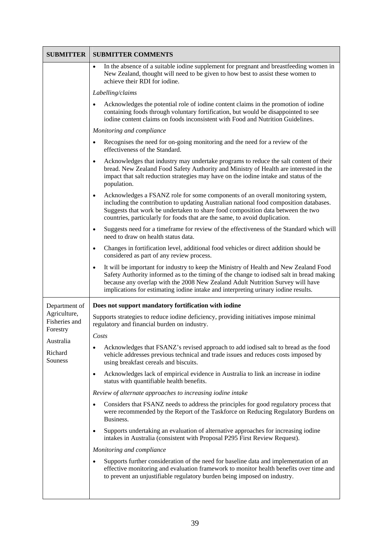| <b>SUBMITTER</b>                          | <b>SUBMITTER COMMENTS</b>                                                                                                                                                                                                                                                                                                                                              |
|-------------------------------------------|------------------------------------------------------------------------------------------------------------------------------------------------------------------------------------------------------------------------------------------------------------------------------------------------------------------------------------------------------------------------|
|                                           | In the absence of a suitable iodine supplement for pregnant and breastfeeding women in<br>$\bullet$<br>New Zealand, thought will need to be given to how best to assist these women to<br>achieve their RDI for iodine.                                                                                                                                                |
|                                           | Labelling/claims                                                                                                                                                                                                                                                                                                                                                       |
|                                           | Acknowledges the potential role of iodine content claims in the promotion of iodine<br>containing foods through voluntary fortification, but would be disappointed to see<br>iodine content claims on foods inconsistent with Food and Nutrition Guidelines.                                                                                                           |
|                                           | Monitoring and compliance                                                                                                                                                                                                                                                                                                                                              |
|                                           | Recognises the need for on-going monitoring and the need for a review of the<br>$\bullet$<br>effectiveness of the Standard.                                                                                                                                                                                                                                            |
|                                           | Acknowledges that industry may undertake programs to reduce the salt content of their<br>$\bullet$<br>bread. New Zealand Food Safety Authority and Ministry of Health are interested in the<br>impact that salt reduction strategies may have on the iodine intake and status of the<br>population.                                                                    |
|                                           | Acknowledges a FSANZ role for some components of an overall monitoring system,<br>$\bullet$<br>including the contribution to updating Australian national food composition databases.<br>Suggests that work be undertaken to share food composition data between the two<br>countries, particularly for foods that are the same, to avoid duplication.                 |
|                                           | Suggests need for a timeframe for review of the effectiveness of the Standard which will<br>$\bullet$<br>need to draw on health status data.                                                                                                                                                                                                                           |
|                                           | Changes in fortification level, additional food vehicles or direct addition should be<br>$\bullet$<br>considered as part of any review process.                                                                                                                                                                                                                        |
|                                           | It will be important for industry to keep the Ministry of Health and New Zealand Food<br>$\bullet$<br>Safety Authority informed as to the timing of the change to iodised salt in bread making<br>because any overlap with the 2008 New Zealand Adult Nutrition Survey will have<br>implications for estimating iodine intake and interpreting urinary iodine results. |
| Department of                             | Does not support mandatory fortification with iodine                                                                                                                                                                                                                                                                                                                   |
| Agriculture,<br>Fisheries and<br>Forestry | Supports strategies to reduce iodine deficiency, providing initiatives impose minimal<br>regulatory and financial burden on industry.                                                                                                                                                                                                                                  |
| Australia                                 | Costs                                                                                                                                                                                                                                                                                                                                                                  |
| Richard<br>Souness                        | Acknowledges that FSANZ's revised approach to add iodised salt to bread as the food<br>$\bullet$<br>vehicle addresses previous technical and trade issues and reduces costs imposed by<br>using breakfast cereals and biscuits.                                                                                                                                        |
|                                           | Acknowledges lack of empirical evidence in Australia to link an increase in iodine<br>$\bullet$<br>status with quantifiable health benefits.                                                                                                                                                                                                                           |
|                                           | Review of alternate approaches to increasing iodine intake                                                                                                                                                                                                                                                                                                             |
|                                           | Considers that FSANZ needs to address the principles for good regulatory process that<br>were recommended by the Report of the Taskforce on Reducing Regulatory Burdens on<br>Business.                                                                                                                                                                                |
|                                           | Supports undertaking an evaluation of alternative approaches for increasing iodine<br>$\bullet$<br>intakes in Australia (consistent with Proposal P295 First Review Request).                                                                                                                                                                                          |
|                                           | Monitoring and compliance                                                                                                                                                                                                                                                                                                                                              |
|                                           | Supports further consideration of the need for baseline data and implementation of an<br>$\bullet$<br>effective monitoring and evaluation framework to monitor health benefits over time and<br>to prevent an unjustifiable regulatory burden being imposed on industry.                                                                                               |
|                                           |                                                                                                                                                                                                                                                                                                                                                                        |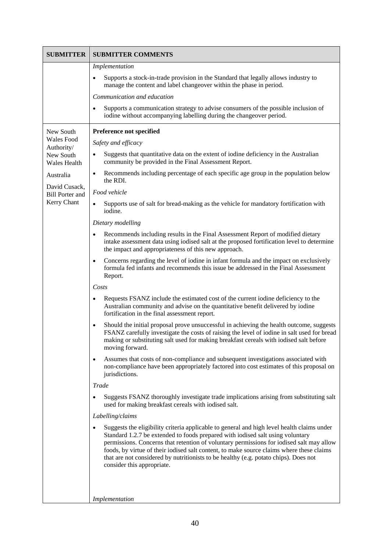| <b>SUBMITTER</b>                        | <b>SUBMITTER COMMENTS</b>                                                                                                                                                                                                                                                                                                                                                                                                                                                                  |
|-----------------------------------------|--------------------------------------------------------------------------------------------------------------------------------------------------------------------------------------------------------------------------------------------------------------------------------------------------------------------------------------------------------------------------------------------------------------------------------------------------------------------------------------------|
|                                         | Implementation                                                                                                                                                                                                                                                                                                                                                                                                                                                                             |
|                                         | Supports a stock-in-trade provision in the Standard that legally allows industry to<br>manage the content and label changeover within the phase in period.                                                                                                                                                                                                                                                                                                                                 |
|                                         | Communication and education                                                                                                                                                                                                                                                                                                                                                                                                                                                                |
|                                         | Supports a communication strategy to advise consumers of the possible inclusion of<br>iodine without accompanying labelling during the changeover period.                                                                                                                                                                                                                                                                                                                                  |
| New South                               | Preference not specified                                                                                                                                                                                                                                                                                                                                                                                                                                                                   |
| Wales Food<br>Authority/                | Safety and efficacy                                                                                                                                                                                                                                                                                                                                                                                                                                                                        |
| New South<br><b>Wales Health</b>        | Suggests that quantitative data on the extent of iodine deficiency in the Australian<br>$\bullet$<br>community be provided in the Final Assessment Report.                                                                                                                                                                                                                                                                                                                                 |
| Australia                               | Recommends including percentage of each specific age group in the population below<br>$\bullet$<br>the RDI.                                                                                                                                                                                                                                                                                                                                                                                |
| David Cusack,<br><b>Bill Porter and</b> | Food vehicle                                                                                                                                                                                                                                                                                                                                                                                                                                                                               |
| Kerry Chant                             | Supports use of salt for bread-making as the vehicle for mandatory fortification with<br>$\bullet$<br>iodine.                                                                                                                                                                                                                                                                                                                                                                              |
|                                         | Dietary modelling                                                                                                                                                                                                                                                                                                                                                                                                                                                                          |
|                                         | Recommends including results in the Final Assessment Report of modified dietary<br>$\bullet$<br>intake assessment data using iodised salt at the proposed fortification level to determine<br>the impact and appropriateness of this new approach.                                                                                                                                                                                                                                         |
|                                         | Concerns regarding the level of iodine in infant formula and the impact on exclusively<br>$\bullet$<br>formula fed infants and recommends this issue be addressed in the Final Assessment<br>Report.                                                                                                                                                                                                                                                                                       |
|                                         | Costs                                                                                                                                                                                                                                                                                                                                                                                                                                                                                      |
|                                         | Requests FSANZ include the estimated cost of the current iodine deficiency to the<br>Australian community and advise on the quantitative benefit delivered by iodine<br>fortification in the final assessment report.                                                                                                                                                                                                                                                                      |
|                                         | Should the initial proposal prove unsuccessful in achieving the health outcome, suggests<br>$\bullet$<br>FSANZ carefully investigate the costs of raising the level of iodine in salt used for bread<br>making or substituting salt used for making breakfast cereals with iodised salt before<br>moving forward.                                                                                                                                                                          |
|                                         | Assumes that costs of non-compliance and subsequent investigations associated with<br>$\bullet$<br>non-compliance have been appropriately factored into cost estimates of this proposal on<br>jurisdictions.                                                                                                                                                                                                                                                                               |
|                                         | Trade                                                                                                                                                                                                                                                                                                                                                                                                                                                                                      |
|                                         | Suggests FSANZ thoroughly investigate trade implications arising from substituting salt<br>used for making breakfast cereals with iodised salt.                                                                                                                                                                                                                                                                                                                                            |
|                                         | Labelling/claims                                                                                                                                                                                                                                                                                                                                                                                                                                                                           |
|                                         | Suggests the eligibility criteria applicable to general and high level health claims under<br>Standard 1.2.7 be extended to foods prepared with iodised salt using voluntary<br>permissions. Concerns that retention of voluntary permissions for iodised salt may allow<br>foods, by virtue of their iodised salt content, to make source claims where these claims<br>that are not considered by nutritionists to be healthy (e.g. potato chips). Does not<br>consider this appropriate. |
|                                         | Implementation                                                                                                                                                                                                                                                                                                                                                                                                                                                                             |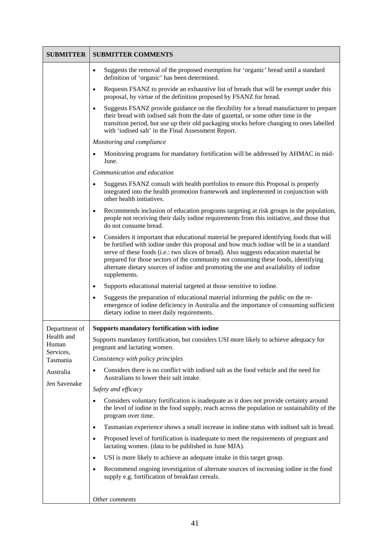| <b>SUBMITTER</b>                 | <b>SUBMITTER COMMENTS</b>                                                                                                                                                                                                                                                                                                                                                                                                                                                              |
|----------------------------------|----------------------------------------------------------------------------------------------------------------------------------------------------------------------------------------------------------------------------------------------------------------------------------------------------------------------------------------------------------------------------------------------------------------------------------------------------------------------------------------|
|                                  | Suggests the removal of the proposed exemption for 'organic' bread until a standard<br>$\bullet$<br>definition of 'organic' has been determined.                                                                                                                                                                                                                                                                                                                                       |
|                                  | Requests FSANZ to provide an exhaustive list of breads that will be exempt under this<br>$\bullet$<br>proposal, by virtue of the definition proposed by FSANZ for bread.                                                                                                                                                                                                                                                                                                               |
|                                  | Suggests FSANZ provide guidance on the flexibility for a bread manufacturer to prepare<br>$\bullet$<br>their bread with iodised salt from the date of gazettal, or some other time in the<br>transition period, but use up their old packaging stocks before changing to ones labelled<br>with 'iodised salt' in the Final Assessment Report.                                                                                                                                          |
|                                  | Monitoring and compliance                                                                                                                                                                                                                                                                                                                                                                                                                                                              |
|                                  | Monitoring programs for mandatory fortification will be addressed by AHMAC in mid-<br>$\bullet$<br>June.                                                                                                                                                                                                                                                                                                                                                                               |
|                                  | Communication and education                                                                                                                                                                                                                                                                                                                                                                                                                                                            |
|                                  | Suggests FSANZ consult with health portfolios to ensure this Proposal is properly<br>$\bullet$<br>integrated into the health promotion framework and implemented in conjunction with<br>other health initiatives.                                                                                                                                                                                                                                                                      |
|                                  | Recommends inclusion of education programs targeting at risk groups in the population,<br>$\bullet$<br>people not receiving their daily iodine requirements from this initiative, and those that<br>do not consume bread.                                                                                                                                                                                                                                                              |
|                                  | Considers it important that educational material be prepared identifying foods that will<br>$\bullet$<br>be fortified with iodine under this proposal and how much iodine will be in a standard<br>serve of these foods (i.e.: two slices of bread). Also suggests education material be<br>prepared for those sectors of the community not consuming these foods, identifying<br>alternate dietary sources of iodine and promoting the use and availability of iodine<br>supplements. |
|                                  | Supports educational material targeted at those sensitive to iodine.<br>$\bullet$                                                                                                                                                                                                                                                                                                                                                                                                      |
|                                  | Suggests the preparation of educational material informing the public on the re-<br>$\bullet$<br>emergence of iodine deficiency in Australia and the importance of consuming sufficient<br>dietary iodine to meet daily requirements.                                                                                                                                                                                                                                                  |
| Department of                    | <b>Supports mandatory fortification with iodine</b>                                                                                                                                                                                                                                                                                                                                                                                                                                    |
| Health and<br>Human<br>Services, | Supports mandatory fortification, but considers USI more likely to achieve adequacy for<br>pregnant and lactating women.                                                                                                                                                                                                                                                                                                                                                               |
| Tasmania                         | Consistency with policy principles                                                                                                                                                                                                                                                                                                                                                                                                                                                     |
| Australia<br>Jen Savenake        | Considers there is no conflict with iodised salt as the food vehicle and the need for<br>$\bullet$<br>Australians to lower their salt intake.                                                                                                                                                                                                                                                                                                                                          |
|                                  | Safety and efficacy                                                                                                                                                                                                                                                                                                                                                                                                                                                                    |
|                                  | Considers voluntary fortification is inadequate as it does not provide certainty around<br>$\bullet$<br>the level of iodine in the food supply, reach across the population or sustainability of the<br>program over time.                                                                                                                                                                                                                                                             |
|                                  | Tasmanian experience shows a small increase in iodine status with iodised salt in bread.<br>$\bullet$                                                                                                                                                                                                                                                                                                                                                                                  |
|                                  | Proposed level of fortification is inadequate to meet the requirements of pregnant and<br>$\bullet$<br>lactating women. (data to be published in June MJA).                                                                                                                                                                                                                                                                                                                            |
|                                  | USI is more likely to achieve an adequate intake in this target group.<br>$\bullet$                                                                                                                                                                                                                                                                                                                                                                                                    |
|                                  | Recommend ongoing investigation of alternate sources of increasing iodine in the food<br>$\bullet$<br>supply e.g. fortification of breakfast cereals.                                                                                                                                                                                                                                                                                                                                  |
|                                  | Other comments                                                                                                                                                                                                                                                                                                                                                                                                                                                                         |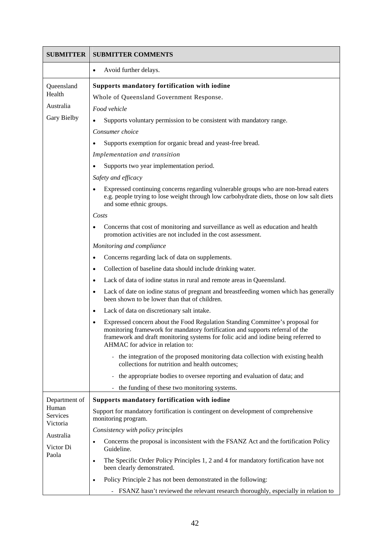| <b>SUBMITTER</b>                                                 | <b>SUBMITTER COMMENTS</b>                                                                                                                                                                                                                                                                |
|------------------------------------------------------------------|------------------------------------------------------------------------------------------------------------------------------------------------------------------------------------------------------------------------------------------------------------------------------------------|
|                                                                  | Avoid further delays.<br>٠                                                                                                                                                                                                                                                               |
| Queensland                                                       | Supports mandatory fortification with iodine                                                                                                                                                                                                                                             |
| Health                                                           | Whole of Queensland Government Response.                                                                                                                                                                                                                                                 |
| Australia                                                        | Food vehicle                                                                                                                                                                                                                                                                             |
| <b>Gary Bielby</b>                                               | Supports voluntary permission to be consistent with mandatory range.<br>$\bullet$                                                                                                                                                                                                        |
|                                                                  | Consumer choice                                                                                                                                                                                                                                                                          |
|                                                                  | Supports exemption for organic bread and yeast-free bread.                                                                                                                                                                                                                               |
|                                                                  | Implementation and transition                                                                                                                                                                                                                                                            |
|                                                                  | Supports two year implementation period.                                                                                                                                                                                                                                                 |
|                                                                  | Safety and efficacy                                                                                                                                                                                                                                                                      |
|                                                                  | Expressed continuing concerns regarding vulnerable groups who are non-bread eaters<br>e.g. people trying to lose weight through low carbohydrate diets, those on low salt diets<br>and some ethnic groups.                                                                               |
|                                                                  | Costs                                                                                                                                                                                                                                                                                    |
|                                                                  | Concerns that cost of monitoring and surveillance as well as education and health<br>promotion activities are not included in the cost assessment.                                                                                                                                       |
|                                                                  | Monitoring and compliance                                                                                                                                                                                                                                                                |
|                                                                  | Concerns regarding lack of data on supplements.<br>$\bullet$                                                                                                                                                                                                                             |
|                                                                  | Collection of baseline data should include drinking water.<br>$\bullet$                                                                                                                                                                                                                  |
|                                                                  | Lack of data of iodine status in rural and remote areas in Queensland.<br>$\bullet$                                                                                                                                                                                                      |
|                                                                  | Lack of date on iodine status of pregnant and breastfeeding women which has generally<br>$\bullet$<br>been shown to be lower than that of children.                                                                                                                                      |
|                                                                  | Lack of data on discretionary salt intake.                                                                                                                                                                                                                                               |
|                                                                  | Expressed concern about the Food Regulation Standing Committee's proposal for<br>monitoring framework for mandatory fortification and supports referral of the<br>framework and draft monitoring systems for folic acid and iodine being referred to<br>AHMAC for advice in relation to: |
|                                                                  | the integration of the proposed monitoring data collection with existing health<br>collections for nutrition and health outcomes;                                                                                                                                                        |
|                                                                  | the appropriate bodies to oversee reporting and evaluation of data; and<br>$\overline{\phantom{0}}$                                                                                                                                                                                      |
|                                                                  | the funding of these two monitoring systems.                                                                                                                                                                                                                                             |
| Department of                                                    | Supports mandatory fortification with iodine                                                                                                                                                                                                                                             |
| Human<br>Services<br>Victoria<br>Australia<br>Victor Di<br>Paola | Support for mandatory fortification is contingent on development of comprehensive<br>monitoring program.                                                                                                                                                                                 |
|                                                                  | Consistency with policy principles                                                                                                                                                                                                                                                       |
|                                                                  | Concerns the proposal is inconsistent with the FSANZ Act and the fortification Policy<br>$\bullet$<br>Guideline.                                                                                                                                                                         |
|                                                                  | The Specific Order Policy Principles 1, 2 and 4 for mandatory fortification have not<br>$\bullet$<br>been clearly demonstrated.                                                                                                                                                          |
|                                                                  | Policy Principle 2 has not been demonstrated in the following:                                                                                                                                                                                                                           |
|                                                                  | FSANZ hasn't reviewed the relevant research thoroughly, especially in relation to                                                                                                                                                                                                        |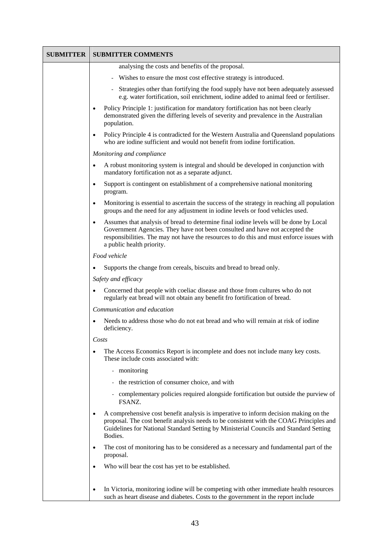| <b>SUBMITTER</b> | <b>SUBMITTER COMMENTS</b>                                                                                                                                                                                                                                                                                  |
|------------------|------------------------------------------------------------------------------------------------------------------------------------------------------------------------------------------------------------------------------------------------------------------------------------------------------------|
|                  | analysing the costs and benefits of the proposal.                                                                                                                                                                                                                                                          |
|                  | Wishes to ensure the most cost effective strategy is introduced.                                                                                                                                                                                                                                           |
|                  | Strategies other than fortifying the food supply have not been adequately assessed<br>e.g. water fortification, soil enrichment, iodine added to animal feed or fertiliser.                                                                                                                                |
|                  | Policy Principle 1: justification for mandatory fortification has not been clearly<br>$\bullet$<br>demonstrated given the differing levels of severity and prevalence in the Australian<br>population.                                                                                                     |
|                  | Policy Principle 4 is contradicted for the Western Australia and Queensland populations<br>$\bullet$<br>who are iodine sufficient and would not benefit from iodine fortification.                                                                                                                         |
|                  | Monitoring and compliance                                                                                                                                                                                                                                                                                  |
|                  | A robust monitoring system is integral and should be developed in conjunction with<br>$\bullet$<br>mandatory fortification not as a separate adjunct.                                                                                                                                                      |
|                  | Support is contingent on establishment of a comprehensive national monitoring<br>$\bullet$<br>program.                                                                                                                                                                                                     |
|                  | Monitoring is essential to ascertain the success of the strategy in reaching all population<br>$\bullet$<br>groups and the need for any adjustment in iodine levels or food vehicles used.                                                                                                                 |
|                  | Assumes that analysis of bread to determine final iodine levels will be done by Local<br>$\bullet$<br>Government Agencies. They have not been consulted and have not accepted the<br>responsibilities. The may not have the resources to do this and must enforce issues with<br>a public health priority. |
|                  | Food vehicle                                                                                                                                                                                                                                                                                               |
|                  | Supports the change from cereals, biscuits and bread to bread only.<br>$\bullet$                                                                                                                                                                                                                           |
|                  | Safety and efficacy                                                                                                                                                                                                                                                                                        |
|                  | Concerned that people with coeliac disease and those from cultures who do not<br>$\bullet$<br>regularly eat bread will not obtain any benefit fro fortification of bread.                                                                                                                                  |
|                  | Communication and education                                                                                                                                                                                                                                                                                |
|                  | Needs to address those who do not eat bread and who will remain at risk of iodine<br>$\bullet$<br>deficiency.                                                                                                                                                                                              |
|                  | Costs                                                                                                                                                                                                                                                                                                      |
|                  | The Access Economics Report is incomplete and does not include many key costs.<br>$\bullet$<br>These include costs associated with:                                                                                                                                                                        |
|                  | - monitoring                                                                                                                                                                                                                                                                                               |
|                  | - the restriction of consumer choice, and with                                                                                                                                                                                                                                                             |
|                  | - complementary policies required alongside fortification but outside the purview of<br>FSANZ.                                                                                                                                                                                                             |
|                  | A comprehensive cost benefit analysis is imperative to inform decision making on the<br>$\bullet$<br>proposal. The cost benefit analysis needs to be consistent with the COAG Principles and<br>Guidelines for National Standard Setting by Ministerial Councils and Standard Setting<br>Bodies.           |
|                  | The cost of monitoring has to be considered as a necessary and fundamental part of the<br>$\bullet$<br>proposal.                                                                                                                                                                                           |
|                  | Who will bear the cost has yet to be established.<br>$\bullet$                                                                                                                                                                                                                                             |
|                  | In Victoria, monitoring iodine will be competing with other immediate health resources<br>$\bullet$<br>such as heart disease and diabetes. Costs to the government in the report include                                                                                                                   |